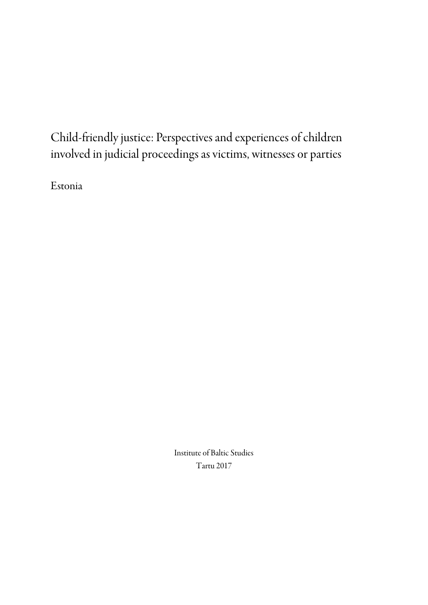# Child-friendly justice: Perspectives and experiences of children involved in judicial proceedings as victims, witnesses or parties

Estonia

Institute of Baltic Studies Tartu 2017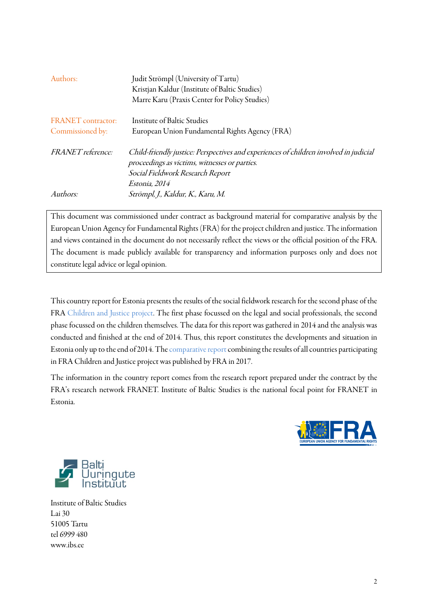| Authors:                                      | Judit Strömpl (University of Tartu)<br>Kristjan Kaldur (Institute of Baltic Studies)<br>Marre Karu (Praxis Center for Policy Studies)                                                       |
|-----------------------------------------------|---------------------------------------------------------------------------------------------------------------------------------------------------------------------------------------------|
| <b>FRANET</b> contractor:<br>Commissioned by: | Institute of Baltic Studies<br>European Union Fundamental Rights Agency (FRA)                                                                                                               |
| <i>FRANET reference:</i>                      | Child-friendly justice: Perspectives and experiences of children involved in judicial<br>proceedings as victims, witnesses or parties.<br>Social Fieldwork Research Report<br>Estonia, 2014 |
| Authors:                                      | Strömpl, J., Kaldur, K., Karu, M.                                                                                                                                                           |

This document was commissioned under contract as background material for comparative analysis by the European Union Agency for Fundamental Rights (FRA) for the project children and justice. The information and views contained in the document do not necessarily reflect the views or the official position of the FRA. The document is made publicly available for transparency and information purposes only and does not constitute legal advice or legal opinion.

This country report for Estonia presents the results of the social fieldwork research for the second phase of the FRA [Children and Justice project.](http://fra.europa.eu/en/project/2012/children-and-justice) The first phase focussed on the legal and social professionals, the second phase focussed on the children themselves. The data for this report was gathered in 2014 and the analysis was conducted and finished at the end of 2014. Thus, this report constitutes the developments and situation in Estonia only up to the end of 2014. Th[e comparative report c](http://fra.europa.eu/en/publication/2017/child-friendly-justice-childrens-view)ombining the results of all countries participating in FRA Children and Justice project was published by FRA in 2017.

The information in the country report comes from the research report prepared under the contract by the FRA's research network FRANET. Institute of Baltic Studies is the national focal point for FRANET in Estonia.





Institute of Baltic Studies Lai 30 51005 Tartu tel 6999 480 [www.ibs.ee](http://www.ibs.ee/)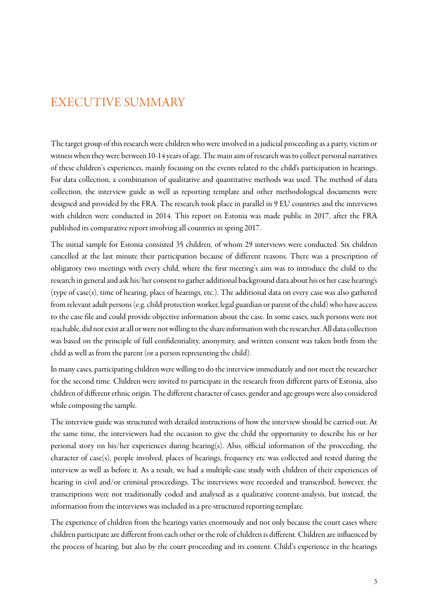# <span id="page-2-0"></span>EXECUTIVE SUMMARY

The target group of this research were children who were involved in a judicial proceeding as a party, victim or witness when they were between 10-14 years of age.The main aim of research was to collect personal narratives of these children's experiences, mainly focusing on the events related to the child's participation in hearings. For data collection, a combination of qualitative and quantitative methods was used. The method of data collection, the interview guide as well as reporting template and other methodological documents were designed and provided by the FRA. The research took place in parallel in 9 EU countries and the interviews with children were conducted in 2014. This report on Estonia was made public in 2017, after the FRA published its comparative report involving all countries in spring 2017.

The initial sample for Estonia consisted 35 children, of whom 29 interviews were conducted. Six children cancelled at the last minute their participation because of different reasons. There was a prescription of obligatory two meetings with every child, where the first meeting's aim was to introduce the child to the research in general and ask his/her consent to gather additional background data about his or her case hearing's (type of case(s), time of hearing, place of hearings, etc.). The additional data on every case was also gathered from relevant adult persons (e.g. child protection worker, legal guardian or parent of the child) who have access to the case file and could provide objective information about the case. In some cases, such persons were not reachable, did not exist at all or were not willing to the share information with the researcher.All data collection was based on the principle of full confidentiality, anonymity, and written consent was taken both from the child as well as from the parent (or a person representing the child).

In many cases, participating children were willing to do the interview immediately and not meet the researcher for the second time. Children were invited to participate in the research from different parts of Estonia, also children of different ethnic origin. The different character of cases, gender and age groups were also considered while composing the sample.

The interview guide was structured with detailed instructions of how the interview should be carried out. At the same time, the interviewers had the occasion to give the child the opportunity to describe his or her personal story on his/her experiences during hearing(s). Also, official information of the proceeding, the character of case(s), people involved, places of hearings, frequency etc was collected and tested during the interview as well as before it. As a result, we had a multiple-case study with children of their experiences of hearing in civil and/or criminal proceedings. The interviews were recorded and transcribed, however, the transcriptions were not traditionally coded and analysed as a qualitative content-analysis, but instead, the information from the interviews was included in a pre-structured reporting template.

The experience of children from the hearings varies enormously and not only because the court cases where children participate are different from each other or the role of children is different. Children are influenced by the process of hearing, but also by the court proceeding and its content. Child's experience in the hearings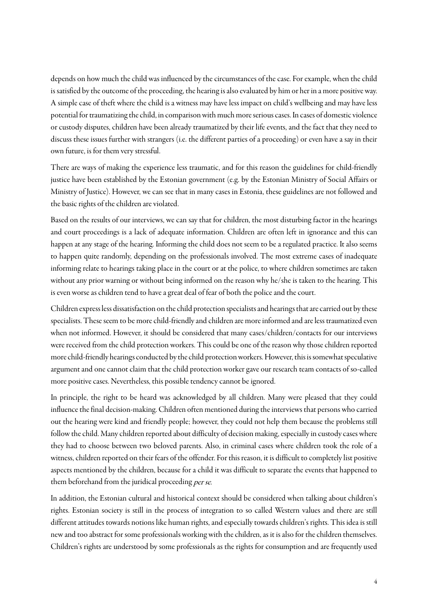depends on how much the child was influenced by the circumstances of the case. For example, when the child is satisfied by the outcome of the proceeding, the hearing is also evaluated by him or her in a more positive way. A simple case of theft where the child is a witness may have less impact on child's wellbeing and may have less potential for traumatizing the child, in comparison with much more serious cases. In cases of domestic violence or custody disputes, children have been already traumatized by their life events, and the fact that they need to discuss these issues further with strangers (i.e. the different parties of a proceeding) or even have a say in their own future, is for them very stressful.

There are ways of making the experience less traumatic, and for this reason the guidelines for child-friendly justice have been established by the Estonian government (e.g. by the Estonian Ministry of Social Affairs or Ministry of Justice). However, we can see that in many cases in Estonia, these guidelines are not followed and the basic rights of the children are violated.

Based on the results of our interviews, we can say that for children, the most disturbing factor in the hearings and court proceedings is a lack of adequate information. Children are often left in ignorance and this can happen at any stage of the hearing. Informing the child does not seem to be a regulated practice. It also seems to happen quite randomly, depending on the professionals involved. The most extreme cases of inadequate informing relate to hearings taking place in the court or at the police, to where children sometimes are taken without any prior warning or without being informed on the reason why he/she is taken to the hearing. This is even worse as children tend to have a great deal of fear of both the police and the court.

Children express less dissatisfaction on the child protection specialists and hearings that are carried out by these specialists. These seem to be more child-friendly and children are more informed and are less traumatized even when not informed. However, it should be considered that many cases/children/contacts for our interviews were received from the child protection workers. This could be one of the reason why those children reported more child-friendly hearings conducted by the child protection workers. However, this is somewhat speculative argument and one cannot claim that the child protection worker gave our research team contacts of so-called more positive cases. Nevertheless, this possible tendency cannot be ignored.

In principle, the right to be heard was acknowledged by all children. Many were pleased that they could influence the final decision-making. Children often mentioned during the interviews that persons who carried out the hearing were kind and friendly people; however, they could not help them because the problems still follow the child. Many children reported about difficulty of decision making, especially in custody cases where they had to choose between two beloved parents. Also, in criminal cases where children took the role of a witness, children reported on their fears of the offender. For this reason, it is difficult to completely list positive aspects mentioned by the children, because for a child it was difficult to separate the events that happened to them beforehand from the juridical proceeding per se.

In addition, the Estonian cultural and historical context should be considered when talking about children's rights. Estonian society is still in the process of integration to so called Western values and there are still different attitudes towards notions like human rights, and especially towards children's rights. This idea is still new and too abstract for some professionals working with the children, as it is also for the children themselves. Children's rights are understood by some professionals as the rights for consumption and are frequently used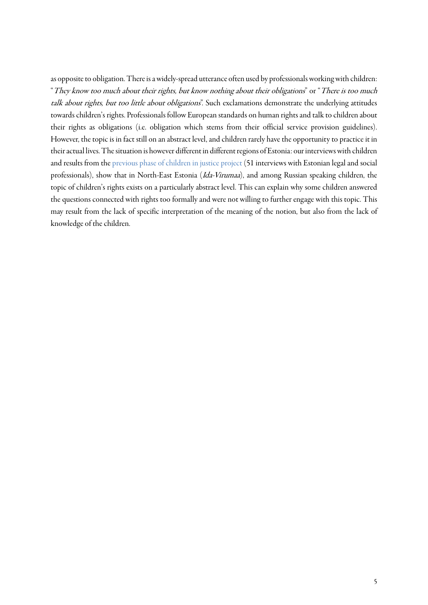as opposite to obligation. There is a widely-spread utterance often used by professionals working with children: "They know too much about their rights, but know nothing about their obligations" or "There is too much talk about rights, but too little about obligations". Such exclamations demonstrate the underlying attitudes towards children's rights. Professionals follow European standards on human rights and talk to children about their rights as obligations (i.e. obligation which stems from their official service provision guidelines). However, the topic is in fact still on an abstract level, and children rarely have the opportunity to practice it in their actual lives. The situation is however different in different regions of Estonia: ourinterviews with children and results from the [previous phase of children in justice project](https://www.ibs.ee/publikatsioonid/laste-osalus-oigusemoistmises/) (51 interviews with Estonian legal and social professionals), show that in North-East Estonia (Ida-Virumaa), and among Russian speaking children, the topic of children's rights exists on a particularly abstract level. This can explain why some children answered the questions connected with rights too formally and were not willing to further engage with this topic. This may result from the lack of specific interpretation of the meaning of the notion, but also from the lack of knowledge of the children.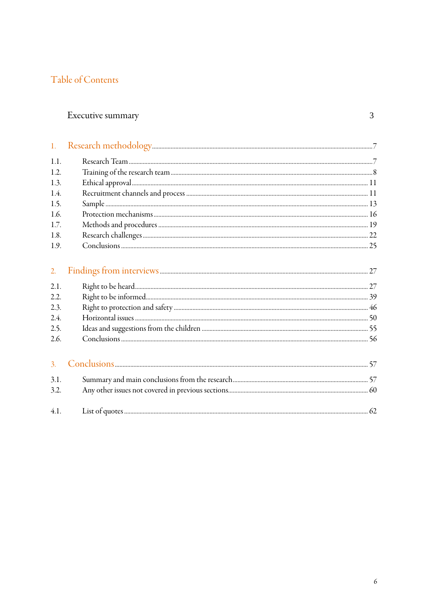# Table of Contents

# Executive summary

<span id="page-5-0"></span>

| 1.1.             |  |
|------------------|--|
| 1.2.             |  |
| 1.3.             |  |
| 1.4.             |  |
| 1.5.             |  |
| 1.6.             |  |
| 1.7.             |  |
| 1.8.             |  |
| 1.9.             |  |
| 2.               |  |
| 2.1.             |  |
| 2.2.             |  |
| 2.3.             |  |
| 2.4.             |  |
| 2.5.             |  |
| 2.6.             |  |
| $\overline{3}$ . |  |
| 3.1.             |  |
| 3.2.             |  |
| 4.1.             |  |

 $\overline{3}$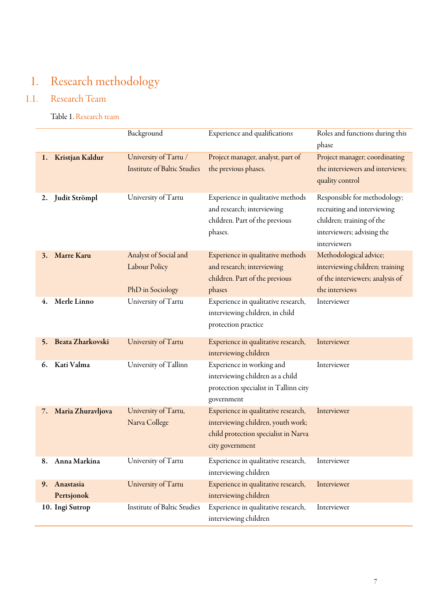# 1. Research methodology

# 1.1. Research Team

<span id="page-6-0"></span>Table 1. Research team

<span id="page-6-1"></span>

|                               | Background                                                        | Experience and qualifications                                                                                                        | Roles and functions during this<br>phase                                                                                               |
|-------------------------------|-------------------------------------------------------------------|--------------------------------------------------------------------------------------------------------------------------------------|----------------------------------------------------------------------------------------------------------------------------------------|
| Kristjan Kaldur<br>1.         | University of Tartu /<br><b>Institute of Baltic Studies</b>       | Project manager, analyst, part of<br>the previous phases.                                                                            | Project manager; coordinating<br>the interviewers and interviews;<br>quality control                                                   |
| Judit Strömpl<br>2.           | University of Tartu                                               | Experience in qualitative methods<br>and research; interviewing<br>children. Part of the previous<br>phases.                         | Responsible for methodology;<br>recruiting and interviewing<br>children; training of the<br>interviewers; advising the<br>interviewers |
| <b>Marre Karu</b><br>3.       | Analyst of Social and<br><b>Labour Policy</b><br>PhD in Sociology | Experience in qualitative methods<br>and research; interviewing<br>children. Part of the previous<br>phases                          | Methodological advice;<br>interviewing children; training<br>of the interviewers; analysis of<br>the interviews                        |
| Merle Linno<br>4.             | University of Tartu                                               | Experience in qualitative research,<br>interviewing children, in child<br>protection practice                                        | Interviewer                                                                                                                            |
| Beata Zharkovski<br>5.        | University of Tartu                                               | Experience in qualitative research,<br>interviewing children                                                                         | Interviewer                                                                                                                            |
| Kati Valma<br>6.              | University of Tallinn                                             | Experience in working and<br>interviewing children as a child<br>protection specialist in Tallinn city<br>government                 | Interviewer                                                                                                                            |
| Maria Zhuravljova<br>7.       | University of Tartu,<br>Narva College                             | Experience in qualitative research,<br>interviewing children, youth work;<br>child protection specialist in Narva<br>city government | Interviewer                                                                                                                            |
| 8. Anna Markina               | University of Tartu                                               | Experience in qualitative research,<br>interviewing children                                                                         | Interviewer                                                                                                                            |
| Anastasia<br>9.<br>Pertsjonok | University of Tartu                                               | Experience in qualitative research,<br>interviewing children                                                                         | Interviewer                                                                                                                            |
| 10. Ingi Sutrop               | Institute of Baltic Studies                                       | Experience in qualitative research,<br>interviewing children                                                                         | Interviewer                                                                                                                            |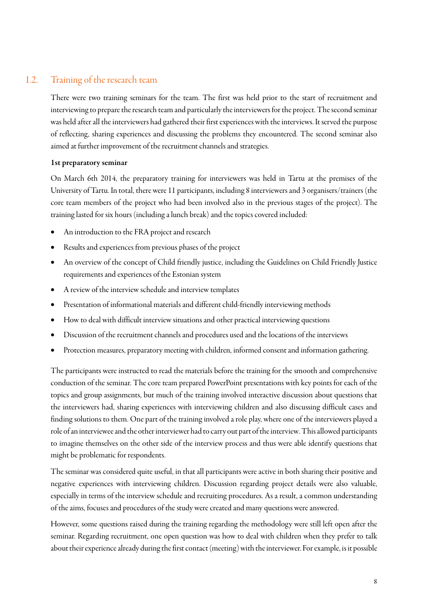# 1.2. Training of the research team

There were two training seminars for the team. The first was held prior to the start of recruitment and interviewing to prepare the research team and particularly the interviewers for the project. The second seminar was held after all the interviewers had gathered their first experiences with the interviews. It served the purpose of reflecting, sharing experiences and discussing the problems they encountered. The second seminar also aimed at further improvement of the recruitment channels and strategies.

#### 1st preparatory seminar

On March 6th 2014, the preparatory training for interviewers was held in Tartu at the premises of the University of Tartu. In total, there were 11 participants, including 8 interviewers and 3 organisers/trainers (the core team members of the project who had been involved also in the previous stages of the project). The training lasted for six hours (including a lunch break) and the topics covered included:

- An introduction to the FRA project and research
- Results and experiences from previous phases of the project
- An overview of the concept of Child friendly justice, including the Guidelines on Child Friendly Justice requirements and experiences of the Estonian system
- A review of the interview schedule and interview templates
- Presentation of informational materials and different child-friendly interviewing methods
- How to deal with difficult interview situations and other practical interviewing questions
- Discussion of the recruitment channels and procedures used and thelocations of the interviews
- Protection measures, preparatory meeting with children, informed consent and information gathering.

The participants were instructed to read the materials before the training for the smooth and comprehensive conduction of the seminar. The core team prepared PowerPoint presentations with key points for each of the topics and group assignments, but much of the training involved interactive discussion about questions that the interviewers had, sharing experiences with interviewing children and also discussing difficult cases and finding solutions to them. One part of the training involved arole play, where one of the interviewers played a role ofan interviewee and the other interviewer had to carry out part of the interview. This allowed participants to imagine themselves on the other side of the interview process and thus were able identify questions that might be problematic for respondents.

The seminar was considered quite useful, in that all participants were active in both sharing their positive and negative experiences with interviewing children. Discussion regarding project details were also valuable, especially in terms of the interview schedule and recruiting procedures. As a result, a common understanding of the aims, focuses and procedures of the study were created and many questions were answered.

However, some questions raised during the training regarding the methodology were still left open after the seminar. Regarding [recruitment,](http://enet.animato.ee/index.php?otsida=recruitment) one open question was how to deal with children when they prefer to talk about their experience already during the first contact (meeting) with the interviewer. For example, is it possible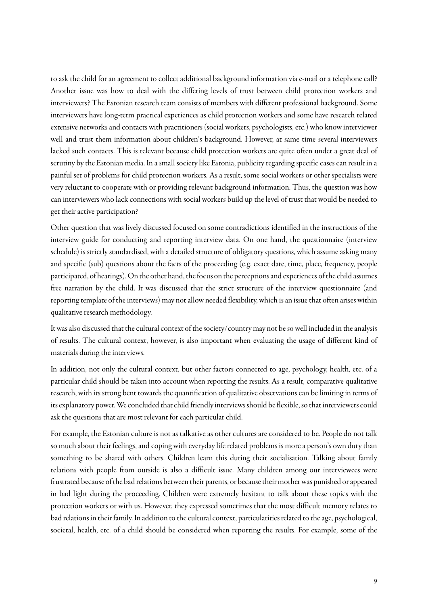to ask the child for an agreement to collect additional background information via e-mail or a telephone call? Another issue was how to deal with the differing levels of trust between child protection workers and interviewers? The Estonian research team consists of members with different professional background. Some interviewers have long-term practical experiences as child protection workers and some have research related extensive networks and contacts with practitioners (social workers, psychologists,etc.) who know interviewer well and trust them information about children's background. However, at same time several interviewers lacked such contacts. This is relevant because child protection workers are quite often under a great deal of scrutiny by the Estonian media. In a small society like Estonia, publicity regarding specific cases can result in a painful set of problems for child protection workers. As a result, some social workers or other specialists were very reluctant to cooperate with or providing relevant background information. Thus, the question was how can interviewers who lack connections with social workers build up the level of trust that would be needed to get their active participation?

Other question that was lively discussed focused on some contradictions identified in the instructions of the interview guide for conducting and reporting interview data. On one hand, the questionnaire (interview schedule) is strictly standardised, with a detailed structure of obligatory questions, which assume asking many and specific (sub) questions about the facts of the proceeding (e.g. exact date, time, place, frequency, people participated, of hearings). On the other hand, the focus on the perceptionsand experiences of the child assumes free narration by the child. It was discussed that the strict structure of the interview questionnaire (and reporting template of the interviews) may not allow needed flexibility, which is an issue that often arises within qualitative research methodology.

It was also discussed that the cultural context of the society/country may not be so well included in the analysis of results. The cultural context, however, is also important when evaluating the usage of different kind of materials during the interviews.

In addition, not only the cultural context, but other factors connected to age, psychology, health, etc. of a particular child should be taken into account when reporting the results. As a result, comparative qualitative research, with its strong bent towards the quantification of qualitative observations can be limiting in terms of its explanatory power. We concluded that child friendly interviews should be flexible, so that interviewers could ask the questions that are most relevant for each particular child.

For example, the Estonian culture is not as talkative as other cultures are considered to be. People do not talk so much about their feelings, and coping with everyday life related problems is more a person's own duty than something to be shared with others. Children learn this during their socialisation. Talking about family relations with people from outside is also a difficult issue. Many children among our interviewees were frustrated because of the bad relations between their parents, or because their mother was punished or appeared in bad light during the proceeding. Children were extremely hesitant to talk about these topics with the protection workers or with us. However, they expressed sometimes that the most difficult memory relates to bad relations in their family. In addition to the cultural context, particularities related to theage, psychological, societal, health, etc. of a child should be considered when reporting the results. For example, some of the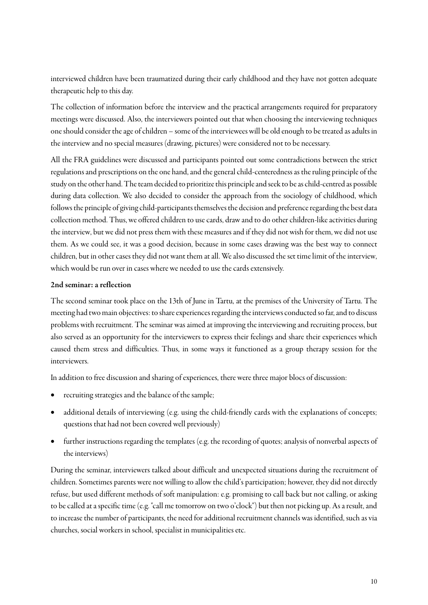interviewed children have been traumatized during their early childhood and they have not gotten adequate therapeutic help to this day.

The collection of information before the interview and the practical arrangements required for preparatory meetings were discussed. Also, the interviewers pointed out that when choosing the interviewing techniques one should consider the age of children – some of the interviewees will be old enough to be treated as adults in the interview and no special measures (drawing, pictures) were considered not to be necessary.

All the FRA guidelines were discussed and participants pointed out some contradictions between the strict regulations and prescriptions on the one hand, and the general child-centeredness as the ruling principle of the study on the other hand. The team decided to prioritize this principle and seek to be as child-centred as possible during data collection. We also decided to consider the approach from the sociology of childhood, which follows the principle of giving child-participants themselves the decision and preference regarding the best data collection method. Thus, we offered children to use cards, draw and to do other children-like activities during the interview, but we did not press them with these measures and if they did not wish for them, we did not use them. As we could see, it was a good decision, because in some cases drawing was the best way to connect children, but in other cases they did not want them at all. We also discussed the set time limit of the interview, which would be run over in cases where we needed to use the cards extensively.

#### 2nd seminar: a reflection

The second seminar took place on the 13th of June in Tartu, at the premises of the University of Tartu. The meeting had two main objectives: to share experiences regarding the interviews conducted so far, and to discuss problems with recruitment. The seminar was aimed at improving the interviewing and recruiting process, but also served as an opportunity for the interviewers to express their feelings and share their experiences which caused them stress and difficulties. Thus, in some ways it functioned as a group therapy session for the interviewers.

In addition to free discussion and sharing of experiences, there were three major blocs of discussion:

- recruiting strategies and the balance of the sample;
- additional details of interviewing (e.g. using the child-friendly cards with the explanations of concepts; questions that had not been covered well previously)
- further instructions regarding the templates (e.g. the recording of quotes; analysis of nonverbal aspects of the interviews)

During the seminar, interviewers talked about difficult and unexpected situations during the recruitment of children. Sometimes parents were not willing to allow the child's participation; however, they did not directly refuse, but used different methods of soft manipulation: e.g. promising to call back but not calling, or asking to be called at a specific time (e.g. "call me tomorrow on two o'clock") but then not picking up. As a result, and to increase the number of participants, the need for additional recruitment channels was identified, such as via churches, social workers in school, specialist in municipalities etc.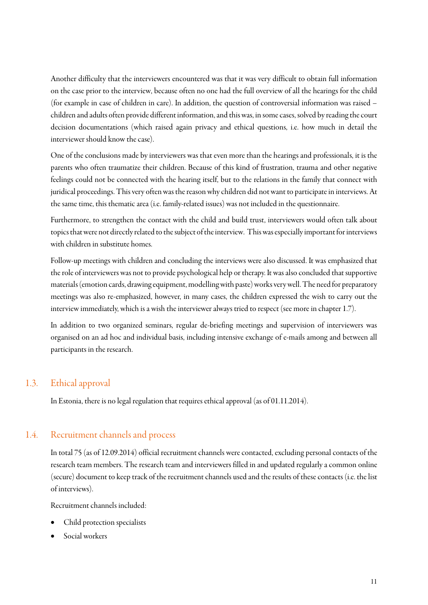Another difficulty that the interviewers encountered was that it was very difficult to obtain full information on the case prior to the interview, because often no one had the full overview of all the hearings for the child (for example in case of children in care). In addition, the question of controversial information was raised – children and adults often provide different information, and this was, in some cases, solved by reading the court decision documentations (which raised again privacy and ethical questions, i.e. how much in detail the interviewer should know the case).

One of the conclusions made by interviewers was that even more than the hearings and professionals, it is the parents who often traumatize their children. Because of this kind of frustration, trauma and other negative feelings could not be connected with the hearing itself, but to the relations in the family that connect with juridical proceedings. This very often was the reason why children did not want to participate in interviews. At the same time, this thematic area(i.e. family-related issues) was not included in the questionnaire.

Furthermore, to strengthen the contact with the child and build trust, interviewers would often talk about topics that were not directly related to the subject of the interview. This was especially important for interviews with children in substitute homes.

Follow-up meetings with children and concluding the interviews were also discussed. It was emphasized that the role of interviewers was not to provide psychological help or therapy. It was also concluded that supportive materials (emotion cards, drawing equipment, modelling with paste) worksvery well. The need for preparatory meetings was also re-emphasized, however, in many cases, the children expressed the wish to carry out the interview immediately, which is a wish the interviewer always tried to respect (see more in chapter 1.7).

In addition to two organized seminars, regular de-briefing meetings and supervision of interviewers was organised on an ad hoc and individual basis, including intensive exchange of e-mails among and between all participants in the research.

# 1.3. Ethical approval

<span id="page-10-0"></span>In Estonia, there is no legal regulation that requires ethical approval (as of 01.11.2014).

## 1.4. Recruitment channels and process

<span id="page-10-1"></span>In total 75 (as of 12.09.2014) official recruitment channels were contacted, excluding personal contacts of the research team members. The research team and interviewers filled in and updated regularly a common online (secure) document to keep track of the recruitment channels used and the results of these contacts (i.e. the list of interviews).

Recruitment channels included:

- Child protection specialists
- Social workers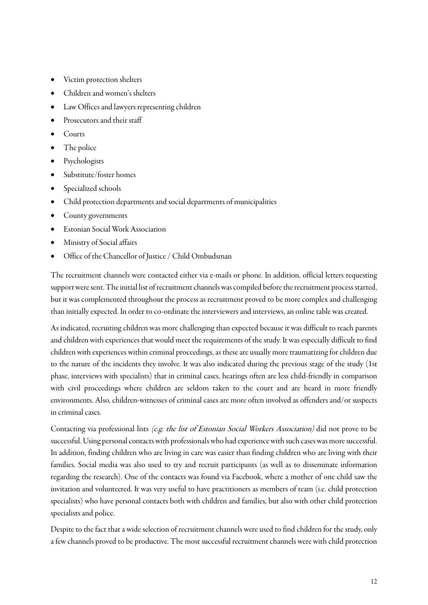- Victim protection shelters
- Children and women's shelters
- Law Offices and lawyers representing children
- Prosecutors and their staff
- Courts
- The police
- **Psychologists**
- Substitute/foster homes
- Specialized schools
- Child protection departments and social departments of municipalities
- County governments
- Estonian Social Work Association
- Ministry of Social affairs
- Office of the Chancellor of Justice / Child Ombudsman

The recruitment channels were contacted either via e-mails or phone. In addition, official letters requesting support were sent. The initial list of recruitment channels was compiled before the recruitment process started, but it was complemented throughout the process as recruitment proved to be more complex and challenging than initially expected. In order to co-ordinate the interviewers and interviews, an online table was created.

As indicated, recruiting children was more challenging than expected because it was difficult to reach parents and children with experiences that would meet the requirements of the study. It was especially difficult to find children with experiences within criminal proceedings, as these are usually more traumatizing for children due to the nature of the incidents they involve. It was also indicated during the previous stage of the study (1st phase, interviews with specialists) that in criminal cases, hearings often are less child-friendly in comparison with civil proceedings where children are seldom taken to the court and are heard in more friendly environments. Also, children-witnesses of criminal cases are more often involved as offenders and/or suspects in criminal cases.

Contacting via professional lists *(e.g. the list of Estonian Social Workers Association)* did not prove to be successful. Using personal contacts with professionals who had experience with such cases was more successful. In addition, finding children who are living in care was easier than finding children who are living with their families. Social media was also used to try and recruit participants (as well as to disseminate information regarding the research). One of the contacts was found via Facebook, where a mother of one child saw the invitation and volunteered. It was very useful to have practitioners as members of team (i.e. child protection specialists) who have personal contacts both with children and families, but also with other child protection specialists and police.

Despite to the fact that a wide selection of recruitment channels were used to find children for the study, only a few channels proved to be productive. The most successful recruitment channels were with child protection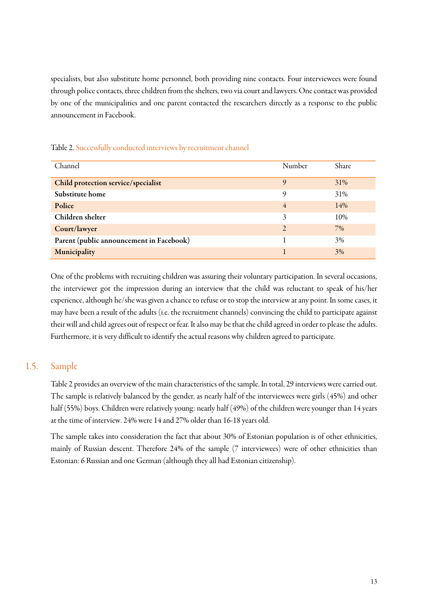specialists, but also substitute home personnel, both providing nine contacts. Four interviewees were found through police contacts, three children from the shelters, two via court and lawyers. One contact was provided by one of the municipalities and one parent contacted the researchers directly as a response to the public announcement in Facebook.

| Channel                                  | Number         | Share |
|------------------------------------------|----------------|-------|
| Child protection service/specialist      | 9              | 31%   |
| Substitute home                          | 9              | 31%   |
| Police                                   | $\overline{4}$ | 14%   |
| Children shelter                         | 3              | 10%   |
| Court/lawyer                             | $\mathcal{L}$  | 7%    |
| Parent (public announcement in Facebook) |                | 3%    |
| Municipality                             |                | 3%    |

#### Table 2. Successfully conducted interviews by recruitment channel

One of the problems with recruiting children was assuring their voluntary participation. In several occasions, the interviewer got the impression during an interview that the child was reluctant to speak of his/her experience, although he/she was given a chance to refuse or to stop the interview at any point. In some cases, it may have been a result of the adults (i.e. the recruitment channels) convincing the child to participate against their will and child agrees out of respect or fear. It also may be that the child agreed in order to please the adults. Furthermore, it is very difficult to identify the actual reasons why children agreed to participate.

### 1.5. Sample

<span id="page-12-0"></span>[Table 2](#page-13-0) provides an overview of the main characteristics of the sample. In total, 29 interviews were carried out. The sample is relatively balanced by the gender, as nearly half of the interviewees were girls (45%) and other half (55%) boys. Children were relatively young: nearly half (49%) of the children were younger than 14 years at the time of interview. 24% were 14 and 27% older than 16-18 years old.

The sample takes into consideration the fact that about 30% of Estonian population is of other ethnicities, mainly of Russian descent. Therefore 24% of the sample (7 interviewees) were of other ethnicities than Estonian: 6 Russian and one German (although they all had Estonian citizenship).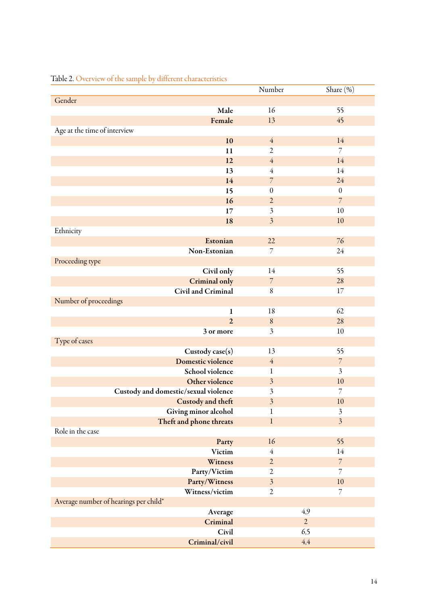|                                       | Number                  | Share (%)               |
|---------------------------------------|-------------------------|-------------------------|
| Gender                                |                         |                         |
| Male                                  | 16                      | 55                      |
| Female                                | 13                      | 45                      |
| Age at the time of interview          |                         |                         |
| 10                                    | $\overline{4}$          | 14                      |
| 11                                    | $\overline{2}$          | $\overline{7}$          |
| 12                                    | $\overline{4}$          | 14                      |
| 13                                    | $\overline{4}$          | 14                      |
| 14                                    | $\overline{7}$          | 24                      |
| 15                                    | $\boldsymbol{0}$        | $\boldsymbol{0}$        |
| 16                                    | $\overline{2}$          | $\overline{7}$          |
| 17                                    | $\mathfrak{Z}$          | 10                      |
| 18                                    | $\overline{\mathbf{3}}$ | 10                      |
| Ethnicity                             |                         |                         |
| Estonian                              | 22                      | 76                      |
| Non-Estonian                          | $\overline{7}$          | 24                      |
| Proceeding type                       |                         |                         |
| Civil only                            | 14                      | 55                      |
| <b>Criminal only</b>                  | $\overline{7}$          | 28                      |
| Civil and Criminal                    | 8                       | 17                      |
| Number of proceedings                 |                         |                         |
| $\mathbf{1}$                          | 18                      | 62                      |
| $\overline{2}$                        | $\,8\,$                 | 28                      |
| 3 or more                             | $\overline{\mathbf{3}}$ | 10                      |
| Type of cases                         |                         |                         |
| Custody case(s)                       | 13                      | 55                      |
| Domestic violence                     | $\overline{4}$          | $\overline{7}$          |
| School violence                       | 1                       | $\mathfrak{Z}$          |
| Other violence                        | $\mathfrak{Z}$          | 10                      |
| Custody and domestic/sexual violence  | $\mathfrak{Z}$          | $\overline{7}$          |
| Custody and theft                     | $\overline{\mathbf{3}}$ | 10                      |
| Giving minor alcohol                  | $\mathbf 1$             | $\mathfrak{Z}$          |
| Theft and phone threats               | $\mathbf{l}$            | $\overline{\mathbf{3}}$ |
| Role in the case                      |                         |                         |
| Party                                 | 16                      | 55                      |
| Victim                                | $\overline{4}$          | 14                      |
| Witness                               | $\sqrt{2}$              | $\overline{7}$          |
| Party/Victim                          | $\overline{c}$          | $\overline{7}$          |
| Party/Witness                         | $\mathfrak{Z}$          | 10                      |
| Witness/victim                        | $\overline{2}$          | $\overline{7}$          |
| Average number of hearings per child* |                         |                         |
| Average                               |                         | 4,9                     |
| Criminal                              |                         | $\overline{2}$          |
| Civil                                 |                         | 6,5                     |
| Criminal/civil                        |                         | $4,\!4$                 |
|                                       |                         |                         |

# <span id="page-13-0"></span>Table 2. Overview of the sample by different characteristics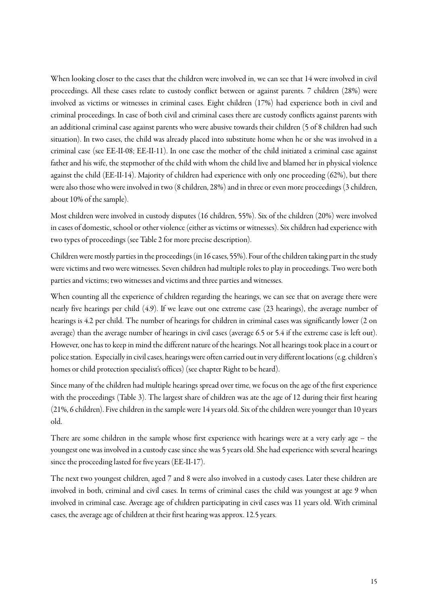When looking closer to the cases that the children were involved in, we can see that 14 were involved in civil proceedings. All these cases relate to custody conflict between or against parents. 7 children (28%) were involved as victims or witnesses in criminal cases. Eight children (17%) had experience both in civil and criminal proceedings. In case of both civil and criminal cases there are custody conflicts against parents with an additional criminal case against parents who were abusive towards their children (5 of 8 children had such situation). In two cases, the child was already placed into substitute home when he or she was involved in a criminal case (see EE-II-08; EE-II-11). In one case the mother of the child initiated a criminal case against father and his wife, the stepmother of the child with whom the child live and blamed her in physical violence against the child (EE-II-14). Majority of children had experience with only one proceeding (62%), but there were also those who were involved in two (8 children, 28%) and in three or even more proceedings (3 children, about 10% of the sample).

Most children were involved in custody disputes (16 children, 55%). Six of the children (20%) were involved in cases of domestic, school or other violence (either as victims or witnesses). Six children had experience with two types of proceedings (see [Table 2](#page-13-0) for more precise description).

Children were mostly parties in the proceedings (in 16 cases, 55%). Four of the children taking part in the study were victims and two were witnesses. Seven children had multiple roles to play in proceedings. Two were both parties and victims; two witnesses and victims and three parties and witnesses.

When counting all the experience of children regarding the hearings, we can see that on average there were nearly five hearings per child (4.9). If we leave out one extreme case (23 hearings), the average number of hearings is 4.2 per child. The number of hearings for children in criminal cases was significantly lower (2 on average) than the average number of hearings in civil cases (average 6.5 or 5.4 if the extreme case is left out). However, one has to keep in mind the different nature of the hearings. Not all hearings took place in a court or police station. Especially in civil cases, hearings were often carried out in very different locations (e.g. children's homes or child protection specialist's offices) (see chapte[r Right to be heard\)](#page-26-2).

Since many of the children had multiple hearings spread over time, we focus on the age of the first experience with the proceedings [\(Table 3\)](#page-15-1). The largest share of children was ate the age of 12 during their first hearing (21%, 6 children). Five children in the sample were 14 years old. Six of the children were younger than 10 years old.

There are some children in the sample whose first experience with hearings were at a very early age – the youngest one was involved in a custody case since she was 5 years old. She had experience with several hearings since the proceeding lasted for five years (EE-II-17).

The next two youngest children, aged 7 and 8 were also involved in a custody cases. Later these children are involved in both, criminal and civil cases. In terms of criminal cases the child was youngest at age 9 when involved in criminal case. Average age of children participating in civil cases was 11 years old. With criminal cases, the average age of children at their first hearing was approx. 12.5 years.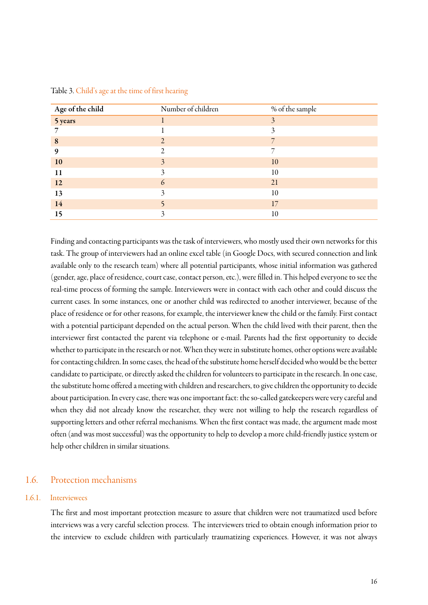| Age of the child<br>5 years | Number of children | % of the sample          |
|-----------------------------|--------------------|--------------------------|
|                             |                    | 3                        |
|                             |                    | 3                        |
| 8                           |                    | 7                        |
| 9                           | $\bigcap$          | $\overline{\phantom{0}}$ |
| 10                          | 3                  | 10                       |
| 11                          |                    | 10                       |
| 12                          | 6                  | 21                       |
| 13                          | 3                  | 10                       |
| 14                          |                    | 17                       |
| 15                          |                    | 10                       |

<span id="page-15-1"></span>Table 3. Child's age at the time of first hearing

Finding and contacting participants was the task of interviewers, who mostly used their own networks for this task. The group of interviewers had an online excel table (in Google Docs, with secured connection and link available only to the research team) where all potential participants, whose initial information was gathered (gender, age, place of residence, court case, contact person, etc.), were filled in. This helped everyone to see the real-time process of forming the sample. Interviewers were in contact with each other and could discuss the current cases. In some instances, one or another child was redirected to another interviewer, because of the place of residence or for other reasons, for example, the interviewer knew the child or the family. First contact with a potential participant depended on the actual person. When the child lived with their parent, then the interviewer first contacted the parent via telephone or e-mail. Parents had the first opportunity to decide whether to participate in the research or not. When they were in substitute homes, other options were available for contacting children. In some cases, the head of the substitute home herself decided who would be the better candidate to participate, or directly asked the children for volunteers to participate in the research. In one case, the substitute home offered a meeting with children and researchers, to give children the opportunity to decide about participation. In every case, there was one important fact: the so-called gatekeepers were very careful and when they did not already know the researcher, they were not willing to help the research regardless of supporting letters and other referral mechanisms. When the first contact was made, the argument made most often (and was most successful) was the opportunity to help to develop a more child-friendly justice system or help other children in similar situations.

### <span id="page-15-0"></span>1.6. Protection mechanisms

#### 1.6.1. Interviewees

The first and most important protection measure to assure that children were not traumatized used before interviews was a very careful selection process. The interviewers tried to obtain enough information prior to the interview to exclude children with particularly traumatizing experiences. However, it was not always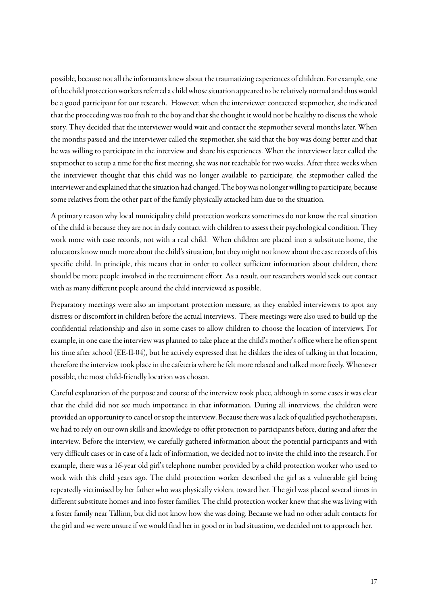possible, because not all the informants knew about the traumatizing experiences of children. For example, one of the child protection workers referred a child whose situation appeared to be relatively normal and thus would be a good participant for our research. However, when the interviewer contacted stepmother, she indicated that the proceeding was too fresh to the boy and that she thought it would not be healthy to discuss the whole story. They decided that the interviewer would wait and contact the stepmother several months later. When the months passed and the interviewer called the stepmother, she said that the boy was doing better and that he was willing to participate in the interview and share his experiences. When the interviewer later called the stepmother to setup a time for the first meeting, she was not reachable for two weeks. After three weeks when the interviewer thought that this child was no longer available to participate, the stepmother called the interviewer and explained that the situation had changed.The boy was no longerwilling to participate, because some relatives from the other part of the family physically attacked him due to the situation.

A primary reason why local municipality child protection workers sometimes do not know the real situation of the child is because they are not in daily contact with children to assess their psychological condition. They work more with case records, not with a real child. When children are placed into a substitute home, the educators know much more about the child's situation, but they might not know about the case records of this specific child. In principle, this means that in order to collect sufficient information about children, there should be more people involved in the recruitment effort. As a result, our researchers would seek out contact with as many different people around the child interviewed as possible.

Preparatory meetings were also an important protection measure, as they enabled interviewers to spot any distress or discomfort in children before the actual interviews. These meetings were also used to build up the confidential relationship and also in some cases to allow children to choose the location of interviews. For example, in one case the interview was planned to take place at the child's mother's office where he often spent his time after school (EE-II-04), but he actively expressed that he dislikes the idea of talking in that location, therefore the interview took place in the cafeteria where he felt more relaxed and talked more freely. Whenever possible, the most child-friendly location was chosen.

Careful explanation of the purpose and course of the interview took place, although in some cases it was clear that the child did not see much importance in that information. During all interviews, the children were provided an opportunity to cancel or stop the interview. Because there was alack of qualified psychotherapists, we had to rely on our own skills and knowledge to offer protection to participants before, during and after the interview. Before the interview, we carefully gathered information about the potential participants and with very difficult cases or in case of a lack of information, we decided not to invite the child into the research. For example, there was a 16-year old girl's telephone number provided by a child protection worker who used to work with this child years ago. The child protection worker described the girl as a vulnerable girl being repeatedly victimised by her father who was physically violent toward her. The girl was placed several times in different substitute homes and into foster families. The child protection worker knew that she was living with a foster family near Tallinn, but did not know how she was doing. Because we had no other adult contacts for the girl and we were unsure if we would find her in good or in bad situation, we decided not to approach her.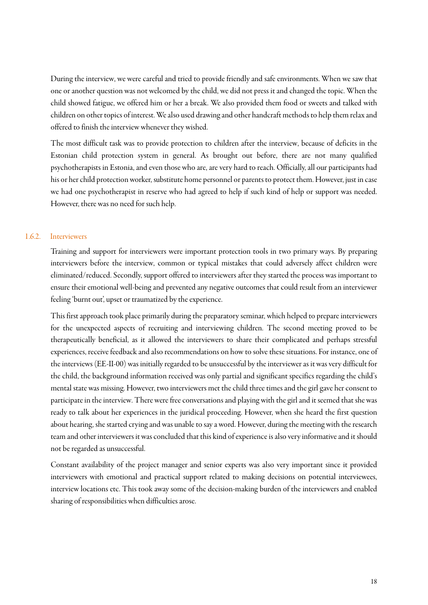During the interview, we were careful and tried to provide friendly and safe environments. When we saw that one or another question was not welcomed by the child, we did not press it and changed the topic. When the child showed fatigue, we offered him or her a break. We also provided them food or sweets and talked with children on other topics of interest. We also used drawing and other handcraft methods to help them relax and offered to finish the interview whenever they wished.

The most difficult task was to provide protection to children after the interview, because of deficits in the Estonian child protection system in general. As brought out before, there are not many qualified psychotherapists in Estonia, and even those who are, are very hard to reach. Officially, all our participants had his or her child protection worker, substitute home personnel or parents to protect them. However, just in case we had one psychotherapist in reserve who had agreed to help if such kind of help or support was needed. However, there was no need for such help.

#### 1.6.2. Interviewers

Training and support for interviewers were important protection tools in two primary ways. By preparing interviewers before the interview, common or typical mistakes that could adversely affect children were eliminated/reduced. Secondly, support offered to interviewers after they started the process was important to ensure their emotional well-being and prevented any negative outcomes that could result from an interviewer feeling 'burnt out', upset or traumatized by the experience.

This first approach took place primarily during the preparatory seminar, which helped to prepare interviewers for the unexpected aspects of recruiting and interviewing children. The second meeting proved to be therapeutically beneficial, as it allowed the interviewers to share their complicated and perhaps stressful experiences, receive feedback and also recommendations on how to solve these situations. For instance, one of the interviews (EE-II-00) was initially regarded to be unsuccessful by the interviewer as it was very difficult for the child, the background information received was only partial and significant specifics regarding the child's mental state was missing. However, two interviewers met the child three times and the girl gave her consent to participate in the interview. There were free conversations and playing with the girl and it seemed that she was ready to talk about her experiences in the juridical proceeding. However, when she heard the first question about hearing, she started crying and was unable to saya word. However, during the meeting with the research team and other interviewers it was concluded that this kind of experience is also very informative and it should not be regarded as unsuccessful.

Constant availability of the project manager and senior experts was also very important since it provided interviewers with emotional and practical support related to making decisions on potential interviewees, interview locations etc. This took away some of the decision-making burden of the interviewers and enabled sharing of responsibilities when difficulties arose.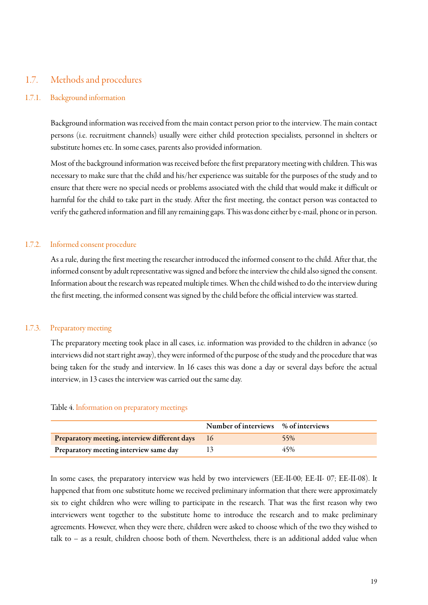### <span id="page-18-0"></span>1.7. Methods and procedures

#### 1.7.1. Background information

Background information was received from the main contact person prior to the interview. The main contact persons (i.e. recruitment channels) usually were either child protection specialists, personnel in shelters or substitute homes etc. In some cases, parents also provided information.

Most of the background information was received before the first preparatory meeting with children. This was necessary to make sure that the child and his/her experience was suitable for the purposes of the study and to ensure that there were no special needs or problems associated with the child that would make it difficult or harmful for the child to take part in the study. After the first meeting, the contact person was contacted to verify the gathered information and fill any remaining gaps. This was done either by e-mail, phone or in person.

#### 1.7.2. Informed consent procedure

As a rule, during the first meeting the researcher introduced the informed consent to the child. After that, the informed consent by adult representative was signed and before the interview the child also signed the consent. Information about the research was repeated multiple times. When the child wished to do the interview during the first meeting, the informed consent was signed by the child before the official interview was started.

#### 1.7.3. Preparatory meeting

The preparatory meeting took place in all cases, i.e. information was provided to the children in advance (so interviews did not start right away), they were informed of the purpose of the study and the procedure that was being taken for the study and interview. In 16 cases this was done a day or several days before the actual interview, in 13 cases the interview was carried out the same day.

#### Table 4. Information on preparatory meetings

|                                                  | Number of interviews % of interviews |     |
|--------------------------------------------------|--------------------------------------|-----|
| Preparatory meeting, interview different days 16 |                                      | 55% |
| Preparatory meeting interview same day           |                                      | 45% |

In some cases, the preparatory interview was held by two interviewers (EE-II-00; EE-II- 07; EE-II-08). It happened that from one substitute home we received preliminary information that there were approximately six to eight children who were willing to participate in the research. That was the first reason why two interviewers went together to the substitute home to introduce the research and to make preliminary agreements. However, when they were there, children were asked to choose which of the two they wished to talk to – as a result, children choose both of them. Nevertheless, there is an additional added value when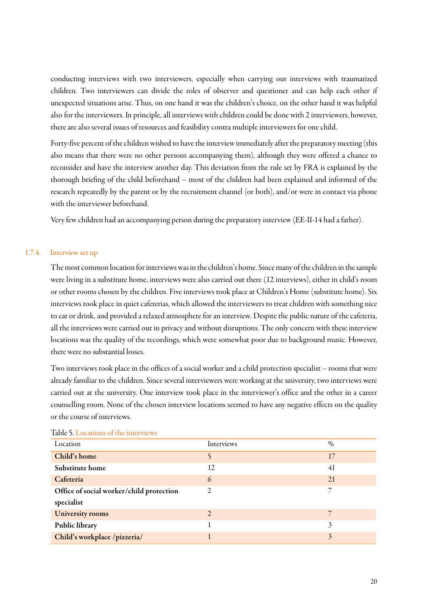conducting interviews with two interviewers, especially when carrying out interviews with traumatized children. Two interviewers can divide the roles of observer and questioner and can help each other if unexpected situations arise. Thus, on one hand it was the children's choice, on the other hand it was helpful also for the interviewers. In principle, all interviews with children could be done with 2 interviewers, however, there are also several issues of resources and feasibility contra multiple interviewers for one child.

Forty-five percent of the children wished to have the interview immediately after the preparatory meeting (this also means that there were no other persons accompanying them), although they were offered a chance to reconsider and have the interview another day. This deviation from the rule set by FRA is explained by the thorough briefing of the child beforehand – most of the children had been explained and informed of the research repeatedly by the parent or by the recruitment channel (or both), and/or were in contact via phone with the interviewer beforehand.

Very few children had an accompanying person during the preparatory interview (EE-II-14 had a father).

#### 1.7.4. Interview set up

The most common location for interviews was in the children's home. Since many of the children in the sample were living in a substitute home, interviews were also carried out there (12 interviews), either in child's room or other rooms chosen by the children. Five interviews took place at Children's Home (substitute home). Six interviews took place in quiet cafeterias, which allowed the interviewers to treat children with something nice to eat or drink, and provided a relaxed atmosphere for an interview. Despite the public nature of the cafeteria, all the interviews were carried out in privacy and without disruptions. The only concern with these interview locations was the quality of the recordings, which were somewhat poor due to background music. However, there were no substantial losses.

Two interviews took place in the offices of a social worker and a child protection specialist – rooms that were already familiar to the children. Since several interviewers were working at the university, two interviews were carried out at the university. One interview took place in the interviewer's office and the other in a career counselling room. None of the chosen interview locations seemed to have any negative effects on the quality or the course of interviews.

| Location                                 | Interviews     | $\%$ |
|------------------------------------------|----------------|------|
| Child's home                             | ς              | 17   |
| Substitute home                          | 12             | 41   |
| Cafeteria                                | 6              | 21   |
| Office of social worker/child protection | $\overline{c}$ |      |
| specialist                               |                |      |
| <b>University rooms</b>                  | $\overline{2}$ |      |
| Public library                           |                | 3    |
| Child's workplace /pizzeria/             |                | 3    |

#### Table 5. Locations of the interviews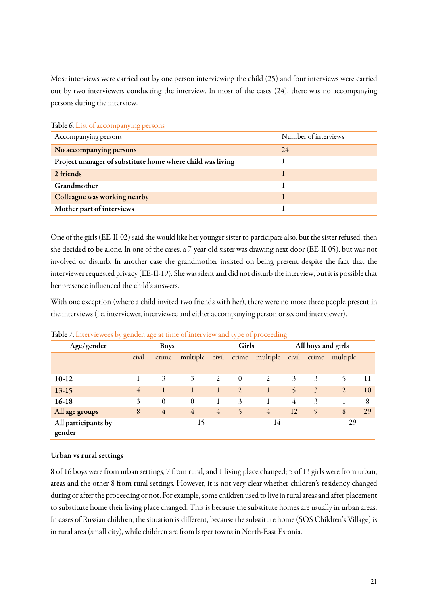Most interviews were carried out by one person interviewing the child (25) and four interviews were carried out by two interviewers conducting the interview. In most of the cases (24), there was no accompanying persons during the interview.

| Accompanying persons                                      | Number of interviews |
|-----------------------------------------------------------|----------------------|
| No accompanying persons                                   | 24                   |
| Project manager of substitute home where child was living |                      |
| 2 friends                                                 |                      |
| Grandmother                                               |                      |
| Colleague was working nearby                              |                      |
| Mother part of interviews                                 |                      |

Table 6. List of accompanying persons

One of the girls (EE-II-02) said she would like her younger sister to participate also, but the sister refused, then she decided to be alone. In one of the cases, a 7-year old sister was drawing next door (EE-II-05), but was not involved or disturb. In another case the grandmother insisted on being present despite the fact that the interviewer requested privacy (EE-II-19). She was silent and did not disturb the interview, but it is possible that her presence influenced the child's answers.

With one exception (where a child invited two friends with her), there were no more three people present in the interviews (i.e. interviewer, interviewee and either accompanying person or second interviewer).

|                               | مستحدث |                |                |                |                         |                |              |                    |                |    |
|-------------------------------|--------|----------------|----------------|----------------|-------------------------|----------------|--------------|--------------------|----------------|----|
| Age/gender                    |        | <b>Boys</b>    |                |                | Girls                   |                |              | All boys and girls |                |    |
|                               | civil  | crime          | multiple       | civil          | crime                   | multiple       | civil        | crime              | multiple       |    |
|                               |        |                |                |                |                         |                |              |                    |                |    |
| $10-12$                       |        | 3              | 3              | 2              | $\theta$                | 2              | 3            | 3                  |                | 11 |
| $13-15$                       | 4      |                |                |                | $\overline{2}$          |                | $\mathsf{S}$ | $\overline{3}$     | $\overline{2}$ | 10 |
| $16-18$                       | 3      | $\theta$       | $\Omega$       |                | 3                       |                | 4            | 3                  |                | 8  |
| All age groups                | 8      | $\overline{4}$ | $\overline{4}$ | $\overline{4}$ | $\overline{\mathbf{5}}$ | $\overline{4}$ | 12           | 9                  | 8              | 29 |
| All participants by<br>gender |        |                | 15             |                |                         | 14             |              |                    | 29             |    |

Table 7. Interviewees by gender, age at time of interview and type of proceeding

#### Urban vs rural settings

8 of 16 boys were from urban settings, 7 from rural, and 1 living place changed; 5 of 13 girls were from urban, areas and the other 8 from rural settings. However, it is not very clear whether children's residency changed during or after the proceeding or not. For example, some children used to live in rural areas and after placement to substitute home their living place changed. This is because the substitute homes are usually in urban areas. In cases of Russian children, the situation is different, because the substitute home (SOS Children's Village) is in rural area (small city), while children are from larger towns in North-East Estonia.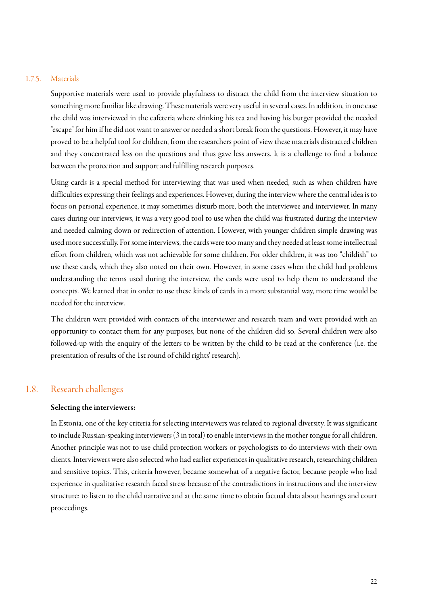#### 1.7.5. Materials

Supportive materials were used to provide playfulness to distract the child from the interview situation to something more familiar like drawing. These materials were very useful in several cases. In addition, in one case the child was interviewed in the cafeteria where drinking his tea and having his burger provided the needed "escape" for him if he did not want to answer or needed a short break from the questions. However, it may have proved to be a helpful tool for children, from the researchers point of view these materials distracted children and they concentrated less on the questions and thus gave less answers. It is a challenge to find a balance between the protection and support and fulfilling research purposes.

Using cards is a special method for interviewing that was used when needed, such as when children have difficulties expressing their feelings and experiences. However, during the interview where the central idea is to focus on personal experience, it may sometimes disturb more, both the interviewee and interviewer. In many cases during our interviews, it was a very good tool to use when the child was frustrated during the interview and needed calming down or redirection of attention. However, with younger children simple drawing was used more successfully. For some interviews, the cards were too many and they needed at least some intellectual effort from children, which was not achievable for some children. For older children, it was too "childish" to use these cards, which they also noted on their own. However, in some cases when the child had problems understanding the terms used during the interview, the cards were used to help them to understand the concepts. We learned that in order to use these kinds of cards in a more substantial way, more time would be needed for the interview.

The children were provided with contacts of the interviewer and research team and were provided with an opportunity to contact them for any purposes, but none of the children did so. Several children were also followed-up with the enquiry of the letters to be written by the child to be read at the conference (i.e. the presentation of results of the 1st round of child rights' research).

#### 1.8. Research challenges

#### <span id="page-21-0"></span>Selecting the interviewers:

In Estonia, one of the key criteria for selecting interviewers was related to regional diversity. It was significant to include Russian-speaking interviewers (3 in total) to enable interviews in the mother tongue for all children. Another principle was not to use child protection workers or psychologists to do interviews with their own clients. Interviewers were also selected who had earlier experiences in qualitative research, researching children and sensitive topics. This, criteria however, became somewhat of a negative factor, because people who had experience in qualitative research faced stress because of the contradictions in instructions and the interview structure: to listen to the child narrative and at the same time to obtain factual data about hearings and court proceedings.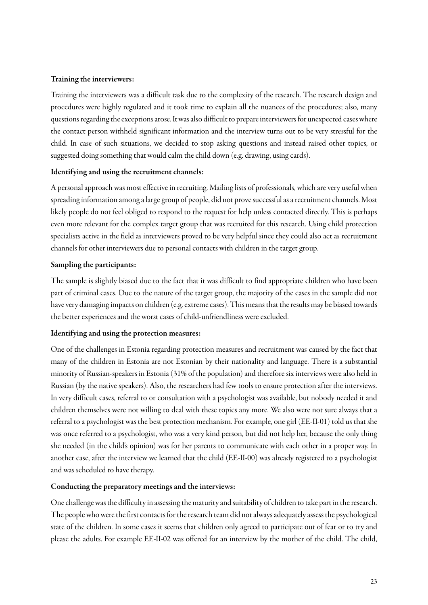#### Training the interviewers:

Training the interviewers was a difficult task due to the complexity of the research. The research design and procedures were highly regulated and it took time to explain all the nuances of the procedures; also, many questions regarding the exceptions arose. It was also difficult to prepare interviewers for unexpected cases where the contact person withheld significant information and the interview turns out to be very stressful for the child. In case of such situations, we decided to stop asking questions and instead raised other topics, or suggested doing something that would calm the child down (e.g. drawing, using cards).

#### Identifying and using the recruitment channels:

A personal approach was most effective in recruiting. Mailing lists of professionals, which are very useful when spreading information among a large group of people, did not prove successful as a recruitment channels. Most likely people do not feel obliged to respond to the request for help unless contacted directly. This is perhaps even more relevant for the complex target group that was recruited for this research. Using child protection specialists active in the field as interviewers proved to be very helpful since they could also act as recruitment channels for other interviewers due to personal contacts with children in the target group.

#### Sampling the participants:

The sample is slightly biased due to the fact that it was difficult to find appropriate children who have been part of criminal cases. Due to the nature of the target group, the majority of the cases in the sample did not have very damaging impacts on children (e.g. extreme cases). This means that the results may be biased towards the better experiences and the worst cases of child-unfriendliness were excluded.

#### Identifying and using the protection measures:

One of the challenges in Estonia regarding protection measures and recruitment was caused by the fact that many of the children in Estonia are not Estonian by their nationality and language. There is a substantial minority of Russian-speakers in Estonia(31% of the population) and therefore six interviews were also held in Russian (by the native speakers). Also, the researchers had few tools to ensure protection after the interviews. In very difficult cases, referral to or consultation with a psychologist was available, but nobody needed it and children themselves were not willing to deal with these topics any more. We also were not sure always that a referral to a psychologist was the best protection mechanism. For example, one girl (EE-II-01) told us that she was once referred to a psychologist, who was a very kind person, but did not help her, because the only thing she needed (in the child's opinion) was for her parents to communicate with each other in a proper way. In another case, after the interview we learned that the child (EE-II-00) was already registered to a psychologist and was scheduled to have therapy.

#### Conducting the preparatory meetings and the interviews:

One challenge was the difficulty in assessing the maturity and suitability of children to take part in the research. The people who were the first contacts for the research team did not always adequately assess the psychological state of the children. In some cases it seems that children only agreed to participate out of fear or to try and please the adults. For example EE-II-02 was offered for an interview by the mother of the child. The child,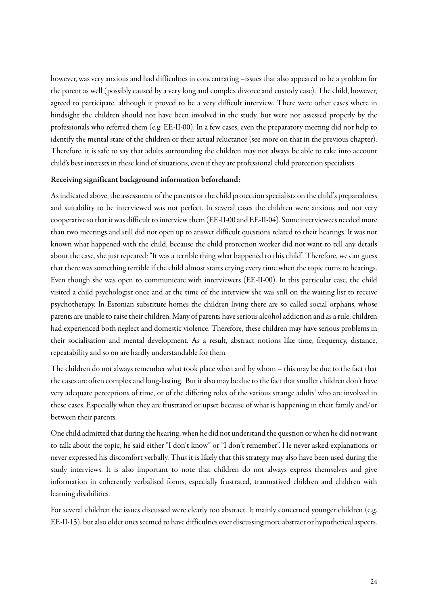however, was very anxious and had difficulties in concentrating –issues that also appeared to be a problem for the parent as well (possibly caused by a very long and complex divorce and custody case). The child, however, agreed to participate, although it proved to be a very difficult interview. There were other cases where in hindsight the children should not have been involved in the study, but were not assessed properly by the professionals who referred them (e.g. EE-II-00). In a few cases, even the preparatory meeting did not help to identify the mental state of the children or their actual reluctance (see more on that in the previous chapter). Therefore, it is safe to say that adults surrounding the children may not always be able to take into account child's best interests in these kind of situations, even if they are professional child protection specialists.

#### Receiving significant background information beforehand:

As indicated above, the assessment of the parents or the child protection specialists on the child's preparedness and suitability to be interviewed was not perfect. In several cases the children were anxious and not very cooperative so that it was difficult to interview them (EE-II-00 and EE-II-04). Some interviewees needed more than two meetings and still did not open up to answer difficult questions related to their hearings. It was not known what happened with the child, because the child protection worker did not want to tell any details about the case, she just repeated: "It was a terrible thing what happened to this child". Therefore, we can guess that there was something terrible if the child almost starts crying every time when the topic turns to hearings. Even though she was open to communicate with interviewers (EE-II-00). In this particular case, the child visited a child psychologist once and at the time of the interview she was still on the waiting list to receive psychotherapy. In Estonian substitute homes the children living there are so called social orphans, whose parents are unable to raise their children. Many of parents have serious alcohol addiction and as a rule, children had experienced both neglect and domestic violence. Therefore, these children may have serious problems in their socialisation and mental development. As a result, abstract notions like time, frequency, distance, repeatability and so on are hardly understandable for them.

The children do not always remember what took place when and by whom – this may be due to the fact that the cases are often complex and long-lasting. But it also may be due to the fact that smaller children don't have very adequate perceptions of time, or of the differing roles of the various strange adults' who are involved in these cases. Especially when they are frustrated or upset because of what is happening in their family and/or between their parents.

One child admitted that during the hearing,when he did not understand the question or when he did not want to talk about the topic, he said either "I don't know" or "I don't remember". He never asked explanations or never expressed his discomfort verbally. Thus it is likely that this strategy may also have been used during the study interviews. It is also important to note that children do not always express themselves and give information in coherently verbalised forms, especially frustrated, traumatized children and children with learning disabilities.

For several children the issues discussed were clearly too abstract. It mainly concerned younger children (e.g. EE-II-15), but also older ones seemed to have difficulties over discussing more abstract or hypothetical aspects.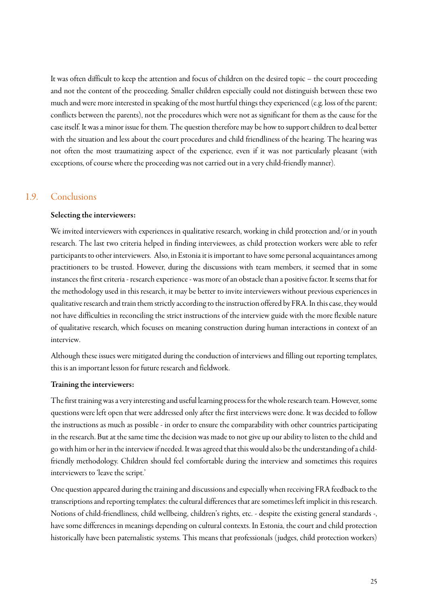It was often difficult to keep the attention and focus of children on the desired topic – the court proceeding and not the content of the proceeding. Smaller children especially could not distinguish between these two much and were more interested in speaking of the most hurtful things they experienced (e.g. loss of the parent; conflicts between the parents), not the procedures which were not as significant for them as the cause for the case itself. It was a minor issue for them. The question therefore may be how to support children to deal better with the situation and less about the court procedures and child friendliness of the hearing. The hearing was not often the most traumatizing aspect of the experience, even if it was not particularly pleasant (with exceptions, of course where the proceeding was not carried out in a very child-friendly manner).

### 1.9. Conclusions

#### <span id="page-24-0"></span>Selecting the interviewers:

We invited interviewers with experiences in qualitative research, working in child protection and/or in youth research. The last two criteria helped in finding interviewees, as child protection workers were able to refer participants to other interviewers. Also, in Estonia it is important to have some personal acquaintances among practitioners to be trusted. However, during the discussions with team members, it seemed that in some instances the first criteria - research experience- was more of an obstacle than a positive factor. It seems that for the methodology used in this research, it may be better to invite interviewers without previous experiences in qualitative research and train them strictly according to the instruction offered by FRA. In this case, they would not have difficulties in reconciling the strict instructions of the interview guide with the more flexible nature of qualitative research, which focuses on meaning construction during human interactions in context of an interview.

Although these issues were mitigated during the conduction of interviews and filling out reporting templates, this is an important lesson for future research and fieldwork.

#### Training the interviewers:

The first training was a very interesting and useful learning process forthe whole research team. However, some questions were left open that were addressed only after the first interviews were done. It was decided to follow the instructions as much as possible - in order to ensure the comparability with other countries participating in the research. But at the same time the decision was made to not give up our ability to listen to the child and go with him or her in the interview if needed. It was agreed that this would also be the understanding of a childfriendly methodology. Children should feel comfortable during the interview and sometimes this requires interviewers to 'leave the script.'

One question appeared during the training and discussions and especially when receiving FRA feedback to the transcriptions and reporting templates: the cultural differences that are sometimes left implicit in this research. Notions of child-friendliness, child wellbeing, children's rights, etc. - despite the existing general standards -, have some differences in meanings depending on cultural contexts. In Estonia, the court and child protection historically have been paternalistic systems. This means that professionals (judges, child protection workers)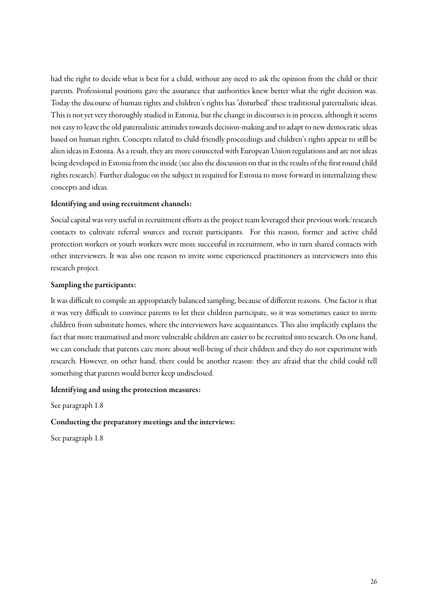had the right to decide what is best for a child, without any need to ask the opinion from the child or their parents. Professional positions gave the assurance that authorities knew better what the right decision was. Today the discourse of human rights and children's rights has "disturbed" these traditional paternalistic ideas. This is not yet very thoroughly studied in Estonia, but the change in discourses is in process, although it seems not easy to leave the old paternalistic attitudes towards decision-making and to adapt to new democratic ideas based on human rights. Concepts related to child-friendly proceedings and children's rights appear to still be alien ideas in Estonia. As a result, they are more connected with European Union regulations and are not ideas being developed in Estonia from the inside(see also the discussion on that in the results of the first round child rights research). Further dialogue on the subject in required for Estonia to move forward in internalizing these concepts and ideas.

#### Identifying and using recruitment channels:

Social capital was very useful in recruitment efforts as the project team leveraged their previous work/research contacts to cultivate referral sources and recruit participants. For this reason, former and active child protection workers or youth workers were more successful in recruitment, who in turn shared contacts with other interviewers. It was also one reason to invite some experienced practitioners as interviewers into this research project.

#### Sampling the participants:

It was difficult to compile an appropriately balanced sampling, because of different reasons. One factor is that it was very difficult to convince parents to let their children participate, so it was sometimes easier to invite children from substitute homes, where the interviewers have acquaintances. This also implicitly explains the fact that more traumatised and more vulnerable children areeasier to be recruited into research. On one hand, we can conclude that parents care more about well-being of their children and they do not experiment with research. However, on other hand, there could be another reason: they are afraid that the child could tell something that parents would better keep undisclosed.

#### Identifying and using the protection measures:

See paragraph 1.8

#### Conducting the preparatory meetings and the interviews:

See paragraph 1.8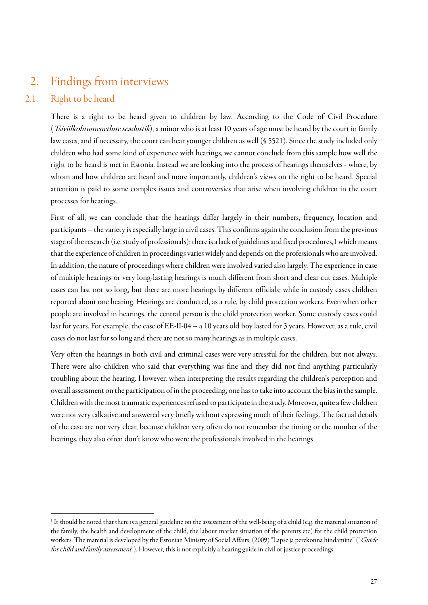# <span id="page-26-0"></span>2. Findings from interviews

# 2.1. Right to be heard

 $\overline{a}$ 

<span id="page-26-2"></span><span id="page-26-1"></span>There is a right to be heard given to children by law. According to the Code of Civil Procedure (Tsiviilkohtumenetluse seadustik), a minor who is at least 10 years of age must be heard by the court in family law cases, and if necessary, the court can hear younger children as well (§ 5521). Since the study included only children who had some kind of experience with hearings, we cannot conclude from this sample how well the right to be heard is met in Estonia. Instead we are looking into the process of hearings themselves - where, by whom and how children are heard and more importantly, children's views on the right to be heard. Special attention is paid to some complex issues and controversies that arise when involving children in the court processes for hearings.

First of all, we can conclude that the hearings differ largely in their numbers, frequency, location and participants – the variety is especially large in civil cases. This confirms again the conclusion from the previous stage of the research (i.e. study of professionals): there is a lack of guidelines and fixed procedures,1which means that the experience of children in proceedings varies widely and depends on the professionals who are involved. In addition, the nature of proceedings where children were involved varied also largely. The experience in case of multiple hearings or very long-lasting hearings is much different from short and clear cut cases. Multiple cases can last not so long, but there are more hearings by different officials; while in custody cases children reported about one hearing. Hearings are conducted, as a rule, by child protection workers. Even when other people are involved in hearings, the central person is the child protection worker. Some custody cases could last for years. For example, the case of EE-II-04 – a 10 years old boy lasted for 3 years. However, as a rule, civil cases do not last for so long and there are not so many hearings as in multiple cases.

Very often the hearings in both civil and criminal cases were very stressful for the children, but not always. There were also children who said that everything was fine and they did not find anything particularly troubling about the hearing. However, when interpreting the results regarding the children's perception and overall assessment on the participation of in the proceeding, one has to take into account the bias in the sample. Children with the most traumatic experiences refused to participate in the study. Moreover, quite a few children were not very talkative and answered very briefly without expressing much of their feelings. The factual details of the case are not very clear, because children very often do not remember the timing or the number of the hearings, they also often don't know who were the professionals involved in the hearings.

 $1$  It should be noted that there is a general guideline on the assessment of the well-being of a child (e.g. the material situation of the family, the health and development of the child, the labour market situation of the parents etc) for the child protection workers. The material is developed by the Estonian Ministry of Social Affairs, (2009) "Lapse ja perekonna hindamine" ("Guide for child and family assessment"). However, this is not explicitly a hearing guide in civil or justice proceedings.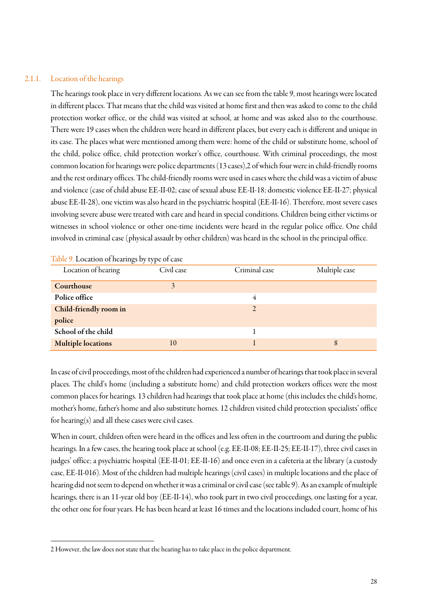#### 2.1.1. Location of the hearings

 $\overline{a}$ 

The hearings took place in very different locations. As we can see from the table 9, most hearings were located in different places. That means that the child was visited at home first and then was asked to come to the child protection worker office, or the child was visited at school, at home and was asked also to the courthouse. There were 19 cases when the children were heard in different places, but every each is different and unique in its case. The places what were mentioned among them were: home of the child or substitute home, school of the child, police office, child protection worker's office, courthouse. With criminal proceedings, the most common location for hearings were police departments(13 cases),2 of which four were in child-friendly rooms and the rest ordinary offices. The child-friendly rooms were used in cases where the child was a victim of abuse and violence (case of child abuse EE-II-02; case of sexual abuse EE-II-18; domestic violence EE-II-27; physical abuse EE-II-28), one victim was also heard in the psychiatric hospital (EE-II-16). Therefore, most severe cases involving severe abuse were treated with care and heard in special conditions. Children being either victims or witnesses in school violence or other one-time incidents were heard in the regular police office. One child involved in criminal case (physical assault by other children) was heard in the school in the principal office.

| Location of hearing       | Civil case | Criminal case  | Multiple case |
|---------------------------|------------|----------------|---------------|
| Courthouse                | 3          |                |               |
| Police office             |            | 4              |               |
| Child-friendly room in    |            | $\overline{2}$ |               |
| police                    |            |                |               |
| School of the child       |            |                |               |
| <b>Multiple locations</b> | 10         |                | 8             |

Table 9. Location of hearings by type of case

In case of civil proceedings, most of the children had experienced a number of hearings that took place in several places. The child's home (including a substitute home) and child protection workers offices were the most common places for hearings. 13 children had hearings that took place at home (this includes the child's home, mother's home, father's home and also substitute homes. 12 children visited child protection specialists' office for hearing(s) and all these cases were civil cases.

When in court, children often were heard in the offices and less often in the courtroom and during the public hearings. In a few cases, the hearing took place at school (e.g. EE-II-08; EE-II-25; EE-II-17), three civil cases in judges' office; a psychiatric hospital (EE-II-01; EE-II-16) and once even in a cafeteria at the library (a custody case, EE-II-016). Most of the children had multiple hearings (civil cases) in multiple locations and the place of hearing did not seem to depend on whether it was a criminal or civil case (see table 9). As an example of multiple hearings, there is an 11-year old boy (EE-II-14), who took part in two civil proceedings, one lasting for a year, the other one for four years. He has been heard at least 16 times and the locations included court, home of his

<sup>2</sup> However, the law does not state that the hearing has to take place in the police department.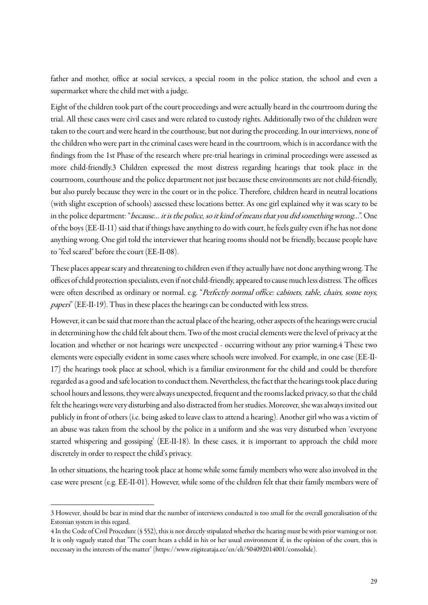father and mother, office at social services, a special room in the police station, the school and even a supermarket where the child met with a judge.

Eight of the children took part of the court proceedings and were actually heard in the courtroom during the trial. All these cases were civil cases and were related to custody rights. Additionally two of the children were taken to the court and were heard in the courthouse, but not during the proceeding. In our interviews, none of the children who were part in the criminal cases were heard in the courtroom, which is in accordance with the findings from the 1st Phase of the research where pre-trial hearings in criminal proceedings were assessed as more child-friendly.3 Children expressed the most distress regarding hearings that took place in the courtroom, courthouse and the police department not just because these environmentsare not child-friendly, but also purely because they were in the court or in the police. Therefore, children heard in neutral locations (with slight exception of schools) assessed these locations better. As one girl explained why it was scary to be in the police department: "because… it is the police, so it kind of means that you did something wrong…". One of the boys (EE-II-11) said that if things have anything to do with court, he feels guilty even if he has not done anything wrong. One girl told the interviewer that hearing rooms should not be friendly, because people have to "feel scared" before the court (EE-II-08).

These places appear scary and threatening to children even if they actually have not done anything wrong. The offices of child protection specialists, even if not child-friendly, appeared to causemuch less distress. The offices were often described as ordinary or normal. e.g. "Perfectly normal office: cabinets, table, chairs, some toys, papers" (EE-II-19). Thus in these places the hearings can be conducted with less stress.

However, it can be said that more than the actual place of the hearing, other aspects of the hearings were crucial in determining how the child felt about them. Two of the most crucial elements were the level of privacy at the location and whether or not hearings were unexpected - occurring without any prior warning.4 These two elements were especially evident in some cases where schools were involved. For example, in one case (EE-II-17) the hearings took place at school, which is a familiar environment for the child and could be therefore regarded as a good and safe location to conduct them. Nevertheless, the fact that the hearings took place during school hours and lessons, they were always unexpected, frequent and the rooms lacked privacy, so that the child felt the hearings were very disturbing and also distracted from her studies. Moreover, she was always invited out publicly in front of others (i.e. being asked to leave class to attend a hearing). Another girl who was a victim of an abuse was taken from the school by the police in a uniform and she was very disturbed when 'everyone started whispering and gossiping' (EE-II-18). In these cases, it is important to approach the child more discretely in order to respect the child's privacy.

In other situations, the hearing took place at home while some family members who were also involved in the case were present (e.g. EE-II-01). However, while some of the children felt that their family members were of

 $\overline{a}$ 

<sup>3</sup> However, should be bear in mind that the number of interviews conducted is too small for the overall generalisation of the Estonian system in this regard.

<sup>4</sup> In the Code of Civil Procedure (§ 552), this is not directly stipulated whether the hearing must be with prior warning or not. It is only vaguely stated that "The court hears a child in his or her usual environment if, in the opinion of the court, this is necessary in the interests of the matter" [\(https://www.riigiteataja.ee/en/eli/504092014001/consolide\)](https://www.riigiteataja.ee/en/eli/504092014001/consolide).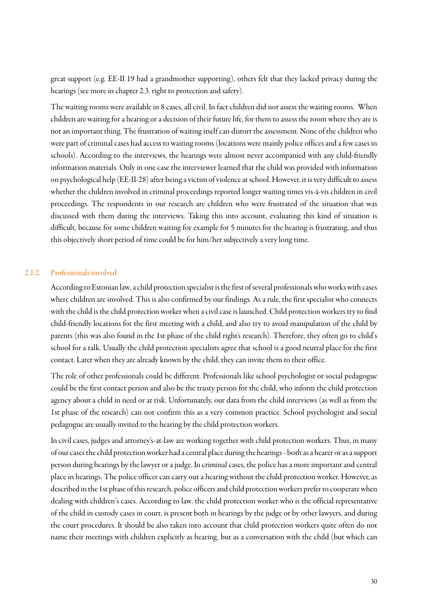great support (e.g. EE-II 19 had a grandmother supporting), others felt that they lacked privacy during the hearings (see more in chapter 2.3. right to protection and safety).

The waiting rooms were available in 8 cases, all civil. In fact children did not assess the waiting rooms. When children are waiting for a hearing or a decision of their future life, for them to assess the room where they are is not an important thing. The frustration of waiting itself can distort the assessment. None of the children who were part of criminal cases had access to waiting rooms (locations were mainly police offices and afew cases in schools). According to the interviews, the hearings were almost never accompanied with any child-friendly information materials. Only in one case the interviewer learned that the child was provided with information on psychological help (EE-II-28) after being a victim of violence at school. However, it is very difficult to assess whether the children involved in criminal proceedings reported longer waiting times vis-à-vis children in civil proceedings. The respondents in our research are children who were frustrated of the situation that was discussed with them during the interviews. Taking this into account, evaluating this kind of situation is difficult, because for some children waiting for example for 5 minutes for the hearing is frustrating, and thus this objectively short period of time could be for him/her subjectively a very long time.

#### 2.1.2. Professionals involved

According to Estonian law, a child protection specialist is the first of several professionals who works with cases where children are involved. This is also confirmed by our findings. As a rule, the first specialist who connects with the child is the child protection worker when a civil case is launched. Child protection workers try to find child-friendly locations for the first meeting with a child, and also try to avoid manipulation of the child by parents (this was also found in the 1st phase of the child right's research). Therefore, they often go to child's school for a talk. Usually the child protection specialists agree that school is a good neutral place for the first contact. Later when they are already known by the child, they can invite them to their office.

The role of other professionals could be different. Professionals like school psychologist or social pedagogue could be the first contact person and also be the trusty person for the child, who inform the child protection agency about a child in need or at risk. Unfortunately, our data from the child interviews (as well as from the 1st phase of the research) can not confirm this as a very common practice. School psychologist and social pedagogue are usually invited to the hearing by the child protection workers.

In civil cases, judges and attorney's-at-law are working together with child protection workers. Thus, in many of our cases the child protection worker had a central place during the hearings - both as a hearer or as a support person during hearings by the lawyer or a judge. In criminal cases, the police has a more important and central place in hearings. The police officer can carry out a hearing without the child protection worker. However, as described in the 1st phase of this research, police officers and child protection workers prefer to cooperate when dealing with children's cases. According to law, the child protection worker who is the official representative of the child in custody cases in court, is present both in hearings by the judge or by other lawyers, and during the court procedures. It should be also taken into account that child protection workers quite often do not name their meetings with children explicitly as hearing, but as a conversation with the child (but which can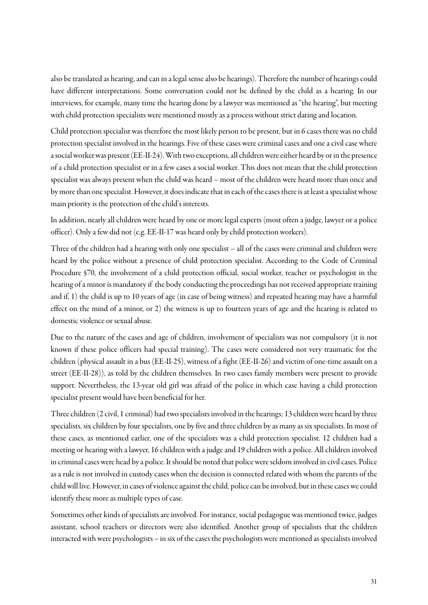also be translated as hearing, and can in a legal sense also be hearings). Therefore the number of hearings could have different interpretations. Some conversation could not be defined by the child as a hearing. In our interviews, for example, many time the hearing done by a lawyer was mentioned as "the hearing", but meeting with child protection specialists were mentioned mostly as a process without strict dating and location.

Child protection specialist was therefore the most likely person to be present, but in 6 cases there was no child protection specialist involved in the hearings. Five of these cases were criminal cases and one a civil case where a social worker was present (EE-II-24). With two exceptions, all children were either heard by or in the presence of a child protection specialist or in a few cases a social worker. This does not mean that the child protection specialist was always present when the child was heard – most of the children were heard more than once and by more than one specialist. However, it does indicate that in each of the cases there is at least a specialist whose main priority is the protection of the child's interests.

In addition, nearly all children were heard by one or more legal experts (most often a judge, lawyer or a police officer). Only a few did not (e.g. EE-II-17 was heard only by child protection workers).

Three of the children had a hearing with only one specialist – all of the cases were criminal and children were heard by the police without a presence of child protection specialist. According to the Code of Criminal Procedure §70, the involvement of a child protection official, social worker, teacher or psychologist in the hearing of a minor is mandatory if the body conducting the proceedings has not received appropriate training and if, 1) the child is up to 10 years of age (in case of being witness) and repeated hearing may have a harmful effect on the mind of a minor, or 2) the witness is up to fourteen years of age and the hearing is related to domestic violence or sexual abuse.

Due to the nature of the cases and age of children, involvement of specialists was not compulsory (it is not known if these police officers had special training). The cases were considered not very traumatic for the children (physical assault in a bus (EE-II-25), witness of a fight (EE-II-26) and victim of one-time assault on a street (EE-II-28)), as told by the children themselves. In two cases family members were present to provide support. Nevertheless, the 13-year old girl was afraid of the police in which case having a child protection specialist present would have been beneficial for her.

Three children (2 civil, 1 criminal) had two specialists involved in the hearings; 13 children were heard by three specialists, six children by four specialists, one by five and three children by as many as six specialists. In most of these cases, as mentioned earlier, one of the specialists was a child protection specialist. 12 children had a meeting or hearing with a lawyer, 16 children with a judge and 19 children with a police. All children involved in criminal cases were head by a police. It should be noted that police were seldom involved in civil cases. Police as a rule is not involved in custody cases when the decision is connected related with whom the parents of the child will live. However, in cases of violence against the child, police can be involved, but in these cases we could identify these more as multiple types of case.

Sometimes other kinds of specialists are involved. For instance, social pedagogue was mentioned twice, judges assistant, school teachers or directors were also identified. Another group of specialists that the children interacted with were psychologists – in six of the cases the psychologists were mentioned as specialists involved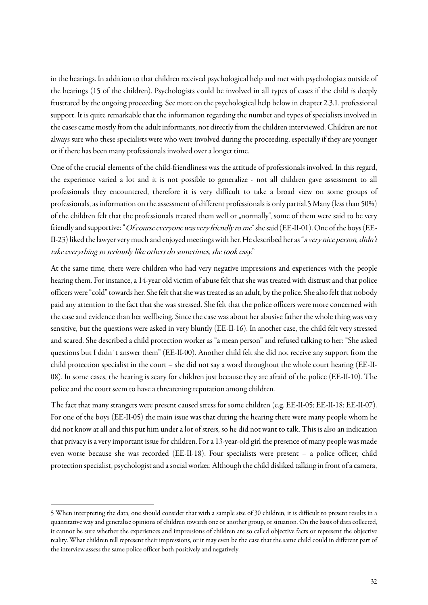in the hearings. In addition to that children received psychological help and met with psychologists outside of the hearings (15 of the children). Psychologists could be involved in all types of cases if the child is deeply frustrated by the ongoing proceeding. See more on the psychological help below in chapter 2.3.1. professional support. It is quite remarkable that the information regarding the number and types of specialists involved in the cases came mostly from the adult informants, not directly from the children interviewed. Children are not always sure who these specialists were who were involved during the proceeding, especially if they are younger or if there has been many professionals involved over a longer time.

One of the crucial elements of the child-friendliness was the attitude of professionals involved. In this regard, the experience varied a lot and it is not possible to generalize - not all children gave assessment to all professionals they encountered, therefore it is very difficult to take a broad view on some groups of professionals, as information on the assessment of different professionals is only partial.5 Many(less than 50%) of the children felt that the professionals treated them well or "normally", some of them were said to be very friendly and supportive: "Of course everyone was very friendly to me" she said (EE-II-01). One of the boys (EE-II-23) liked the lawyer very much and enjoyed meetings with her. He described her as "a very nice person, didn't take everything so seriously like others do sometimes, she took easy."

At the same time, there were children who had very negative impressions and experiences with the people hearing them. For instance, a 14-year old victim of abuse felt that she was treated with distrust and that police officers were "cold" towards her. She felt that she was treated as an adult, by the police. She also felt that nobody paid any attention to the fact that she was stressed. She felt that the police officers were more concerned with the case and evidence than her wellbeing. Since the case was about her abusive father the whole thing was very sensitive, but the questions were asked in very bluntly (EE-II-16). In another case, the child felt very stressed and scared. She described a child protection worker as "a mean person" and refused talking to her: "She asked questions but I didn´t answer them" (EE-II-00). Another child felt she did not receive any support from the child protection specialist in the court – she did not say a word throughout the whole court hearing (EE-II-08). In some cases, the hearing is scary for children just because they are afraid of the police (EE-II-10). The police and the court seem to have a threatening reputation among children.

The fact that many strangers were present caused stress for some children (e.g. EE-II-05; EE-II-18; EE-II-07). For one of the boys (EE-II-05) the main issue was that during the hearing there were many people whom he did not know at all and this put him under a lot of stress, so he did not want to talk. This is also an indication that privacy is a very important issue for children. For a 13-year-old girl the presence of many people was made even worse because she was recorded (EE-II-18). Four specialists were present – a police officer, child protection specialist, psychologist and a social worker. Although the child disliked talking in front of a camera,

 $\overline{a}$ 

<sup>5</sup> When interpreting the data, one should consider that with a sample size of 30 children, it is difficult to present results in a quantitative way and generalise opinions of children towards one or another group, or situation. On the basis of data collected, it cannot be sure whether the experiences and impressions of children are so called objective facts or represent the objective reality. What children tell represent their impressions, or it may even be the case that the same child could in different part of the interview assess the same police officer both positively and negatively.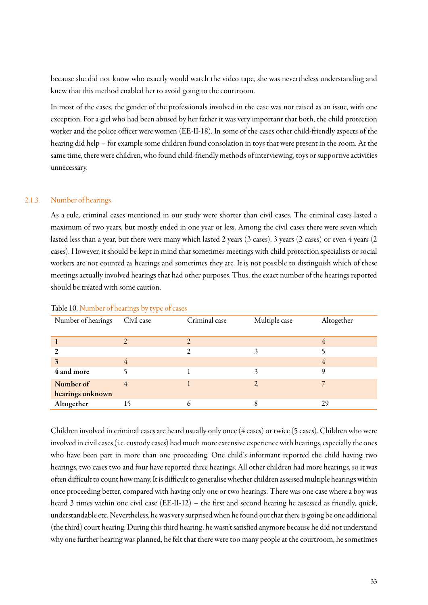because she did not know who exactly would watch the video tape, she was nevertheless understanding and knew that this method enabled her to avoid going to the courtroom.

In most of the cases, the gender of the professionals involved in the case was not raised as an issue, with one exception. For a girl who had been abused by her father it was very important that both, the child protection worker and the police officer were women (EE-II-18). In some of the cases other child-friendly aspects of the hearing did help – for example some children found consolation in toys that were present in the room. At the same time, there were children, who found child-friendly methods of interviewing, toys or supportive activities unnecessary.

#### 2.1.3. Number of hearings

As a rule, criminal cases mentioned in our study were shorter than civil cases. The criminal cases lasted a maximum of two years, but mostly ended in one year or less. Among the civil cases there were seven which lasted less than a year, but there were many which lasted 2 years (3 cases), 3 years (2 cases) or even 4 years (2 cases). However, it should be kept in mind that sometimes meetings with child protection specialists or social workers are not counted as hearings and sometimes they are. It is not possible to distinguish which of these meetings actually involved hearings that had other purposes. Thus, the exact number of the hearings reported should be treated with some caution.

| Number of hearings | Civil case | Criminal case | Multiple case | Altogether |
|--------------------|------------|---------------|---------------|------------|
|                    |            |               |               |            |
|                    |            |               |               |            |
|                    |            |               |               |            |
| 3                  | 4          |               |               |            |
| 4 and more         |            |               |               |            |
| Number of          | 4          |               |               |            |
| hearings unknown   |            |               |               |            |
| Altogether         | 15         |               |               | 29         |

#### Table 10. Number of hearings by type of cases

Children involved in criminal cases are heard usually only once (4 cases) or twice (5 cases). Children who were involved in civil cases (i.e. custody cases) had much more extensive experience with hearings, especially the ones who have been part in more than one proceeding. One child's informant reported the child having two hearings, two cases two and four have reported three hearings. All other children had more hearings, so it was often difficult to count how many. It is difficult to generalise whether children assessed multiple hearings within once proceeding better, compared with having only one or two hearings. There was one case where a boy was heard 3 times within one civil case (EE-II-12) – the first and second hearing he assessed as friendly, quick, understandable etc. Nevertheless, he was very surprised when he found out that there is going be one additional (the third) court hearing. During this third hearing, he wasn't satisfied anymore because he did not understand why one further hearing was planned, he felt that there were too many people at the courtroom, he sometimes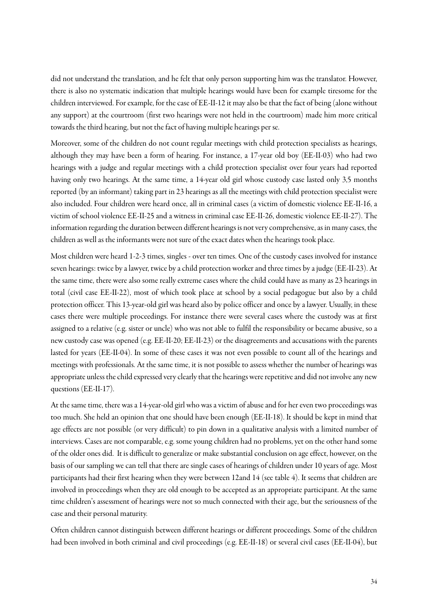did not understand the translation, and he felt that only person supporting him was the translator. However, there is also no systematic indication that multiple hearings would have been for example tiresome for the children interviewed. Forexample, for the case of EE-II-12 it may also be that the fact of being (alone without any support) at the courtroom (first two hearings were not held in the courtroom) made him more critical towards the third hearing, but not the fact of having multiple hearings per se.

Moreover, some of the children do not count regular meetings with child protection specialists as hearings, although they may have been a form of hearing. For instance, a 17-year old boy (EE-II-03) who had two hearings with a judge and regular meetings with a child protection specialist over four years had reported having only two hearings. At the same time, a 14-year old girl whose custody case lasted only 3,5 months reported (by an informant) taking part in 23 hearings as all the meetings with child protection specialist were also included. Four children were heard once, all in criminal cases (a victim of domestic violence EE-II-16, a victim of school violence EE-II-25 and a witness in criminal case EE-II-26, domestic violence EE-II-27). The information regarding the duration between different hearings is not very comprehensive, as in many cases, the children as well as the informants were not sure of the exact dates when the hearings took place.

Most children were heard 1-2-3 times, singles - over ten times. One of the custody cases involved for instance seven hearings: twice by a lawyer, twice by a child protection worker and three times by a judge (EE-II-23). At the same time, there were also some really extreme cases where the child could have as many as 23 hearings in total (civil case EE-II-22), most of which took place at school by a social pedagogue but also by a child protection officer. This 13-year-old girl was heard also by police officer and once by a lawyer. Usually, in these cases there were multiple proceedings. For instance there were several cases where the custody was at first assigned to a relative (e.g. sister or uncle) who was not able to fulfil the responsibility or became abusive, so a new custody case was opened (e.g. EE-II-20; EE-II-23) or the disagreements and accusations with the parents lasted for years (EE-II-04). In some of these cases it was not even possible to count all of the hearings and meetings with professionals. At the same time, it is not possible to assess whether the number of hearings was appropriate unless the child expressed very clearly that the hearings were repetitiveand did not involve any new questions (EE-II-17).

At the same time, there was a 14-year-old girl who was a victim of abuse and for her even two proceedings was too much. She held an opinion that one should have been enough (EE-II-18). It should be kept in mind that age effects are not possible (or very difficult) to pin down in a qualitative analysis with a limited number of interviews. Cases are not comparable, e.g. some young children had no problems, yet on the other hand some of the older ones did. It is difficult to generalize or make substantial conclusion on age effect, however, on the basis of our sampling we can tell that there are single cases of hearings of children under 10 years of age. Most participants had their first hearing when they were between 12and 14 (see table 4). It seems that children are involved in proceedings when they are old enough to be accepted as an appropriate participant. At the same time children's assessment of hearings were not so much connected with their age, but the seriousness of the case and their personal maturity.

Often children cannot distinguish between different hearings or different proceedings. Some of the children had been involved in both criminal and civil proceedings (e.g. EE-II-18) or several civil cases (EE-II-04), but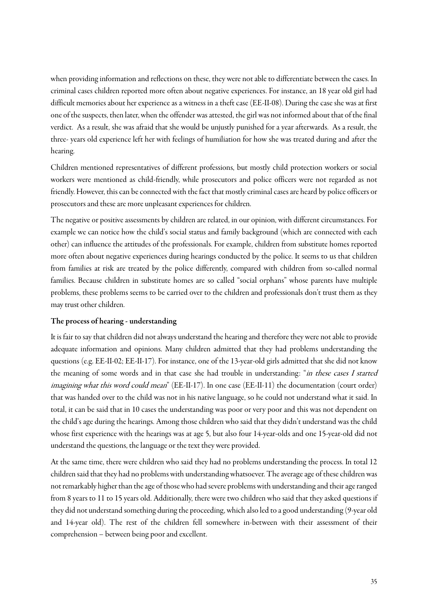when providing information and reflections on these, they were not able to differentiate between the cases. In criminal cases children reported more often about negative experiences. For instance, an 18 year old girl had difficult memories about her experience as a witness in a theft case (EE-II-08). During the case she was at first one of the suspects, then later, when the offender was attested, the girl was not informed about that of the final verdict. As a result, she was afraid that she would be unjustly punished for a year afterwards. As a result, the three- years old experience left her with feelings of humiliation for how she was treated during and after the hearing.

Children mentioned representatives of different professions, but mostly child protection workers or social workers were mentioned as child-friendly, while prosecutors and police officers were not regarded as not friendly. However, this can be connected with the fact that mostly criminal cases are heard by police officers or prosecutors and these are more unpleasant experiences for children.

The negative or positive assessments by children are related, in our opinion, with different circumstances. For example we can notice how the child's social status and family background (which are connected with each other) can influence the attitudes of the professionals. For example, children from substitute homes reported more often about negative experiences during hearings conducted by the police. It seems to us that children from families at risk are treated by the police differently, compared with children from so-called normal families. Because children in substitute homes are so called "social orphans" whose parents have multiple problems, these problems seems to be carried over to the children and professionals don't trust them as they may trust other children.

#### The process of hearing - understanding

It is fair to say that children did not always understand the hearing and therefore they were not able to provide adequate information and opinions. Many children admitted that they had problems understanding the questions (e.g. EE-II-02; EE-II-17). For instance, one of the 13-year-old girls admitted that she did not know the meaning of some words and in that case she had trouble in understanding: "in these cases I started imagining what this word could mean" (EE-II-17). In one case (EE-II-11) the documentation (court order) that was handed over to the child was not in his native language, so he could not understand what it said. In total, it can be said that in 10 cases the understanding was poor or very poor and this was not dependent on the child's age during the hearings. Among those children who said that they didn't understand was the child whose first experience with the hearings was at age 5, but also four 14-year-olds and one 15-year-old did not understand the questions, the language or the text they were provided.

At the same time, there were children who said they had no problems understanding the process. In total 12 children said that they had no problems with understanding whatsoever. The average age of these children was not remarkably higher than the age of those who had severe problems with understanding and their age ranged from 8 years to 11 to 15 years old. Additionally, there were two children who said that they asked questions if they did not understand something during the proceeding, which also led to a good understanding (9-year old and 14-year old). The rest of the children fell somewhere in-between with their assessment of their comprehension – between being poorand excellent.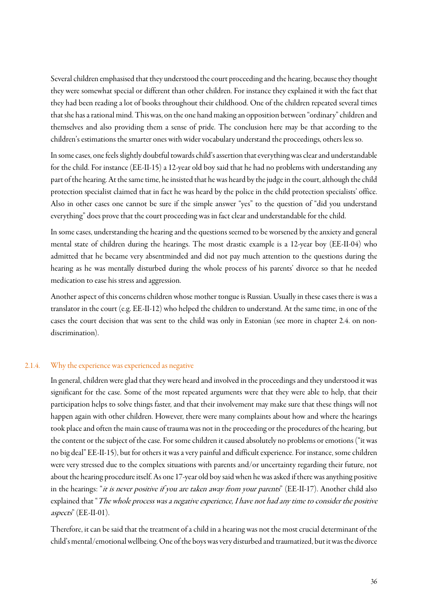Several children emphasised that they understood the court proceeding and the hearing, because they thought they were somewhat special or different than other children. For instance they explained it with the fact that they had been reading a lot of books throughout their childhood. One of the children repeated several times that she has a rational mind. This was, on the one hand making an opposition between "ordinary" children and themselves and also providing them a sense of pride. The conclusion here may be that according to the children's estimations the smarter ones with wider vocabulary understand the proceedings, others less so.

In some cases, one feels slightly doubtful towards child's assertion that everything was clear and understandable for the child. For instance (EE-II-15) a 12-year old boy said that he had no problems with understanding any part of the hearing. At the same time, he insisted that he was heard by the judge in the court, although the child protection specialist claimed that in fact he was heard by the police in the child protection specialists' office. Also in other cases one cannot be sure if the simple answer "yes" to the question of "did you understand everything" does prove that the court proceeding was in fact clear and understandable for the child.

In some cases, understanding the hearing and the questions seemed to be worsened by the anxiety and general mental state of children during the hearings. The most drastic example is a 12-year boy (EE-II-04) who admitted that he became very absentminded and did not pay much attention to the questions during the hearing as he was mentally disturbed during the whole process of his parents' divorce so that he needed medication to ease his stress and aggression.

Another aspect of this concerns children whose mother tongue is Russian. Usually in these cases there is was a translator in the court (e.g. EE-II-12) who helped the children to understand. At the same time, in one of the cases the court decision that was sent to the child was only in Estonian (see more in chapter 2.4. on nondiscrimination).

#### 2.1.4. Why the experience was experienced as negative

In general, children were glad that they were heard and involved in the proceedings and they understood it was significant for the case. Some of the most repeated arguments were that they were able to help, that their participation helps to solve things faster, and that their involvement may make sure that these things will not happen again with other children. However, there were many complaints about how and where the hearings took place and often the main cause of trauma was not in the proceeding or the procedures of the hearing, but the content or the subject of the case. For some children it caused absolutely no problems or emotions ("it was no big deal" EE-II-15), but for others it was a very painful and difficult experience. For instance, some children were very stressed due to the complex situations with parents and/or uncertainty regarding their future, not about the hearing procedure itself. As one 17-year old boy said when he was asked if there was anything positive in the hearings: "it is never positive if you are taken away from your parents" (EE-II-17). Another child also explained that "The whole process was a negative experience, I have not had any time to consider the positive aspects" (EE-II-01).

Therefore, it can be said that the treatment of a child in a hearing was not the most crucial determinant of the child's mental/emotional wellbeing. One of the boys was very disturbed and traumatized, but it was the divorce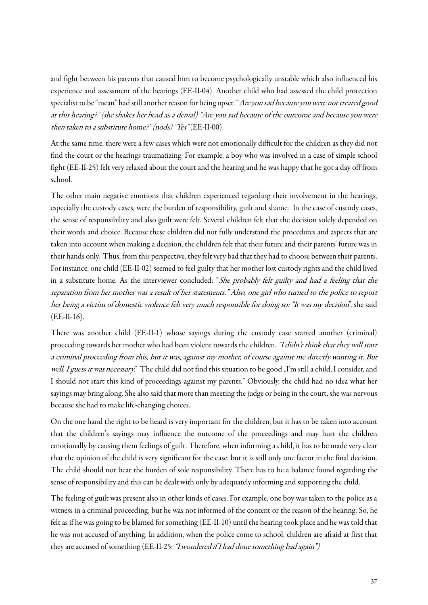and fight between his parents that caused him to become psychologically unstable which also influenced his experience and assessment of the hearings (EE-II-04). Another child who had assessed the child protection specialist to be "mean" had still another reason for being upset. "Are you sad because you were not treated good at this hearing?" (she shakes her head as a denial) "Are you sad because of the outcome and because you were then taken to a substitute home?" (nods) "Yes" (EE-II-00).

At the same time, there were a few cases which were not emotionally difficult for the children as they did not find the court or the hearings traumatizing. For example, a boy who was involved in a case of simple school fight (EE-II-25) felt very relaxed about the court and the hearing and he was happy that he got a day off from school.

The other main negative emotions that children experienced regarding their involvement in the hearings, especially the custody cases, were the burden of responsibility, guilt and shame. In the case of custody cases, the sense of responsibility and also guilt were felt. Several children felt that the decision solely depended on their words and choice. Because these children did not fully understand the procedures and aspects that are taken into account when making a decision, the children felt that their future and their parents' future was in their hands only. Thus, from this perspective, they felt very bad that they had to choose between their parents. For instance, one child (EE-II-02) seemed to feel guilty that her mother lost custody rights and the child lived in a substitute home. As the interviewer concluded: "She probably felt guilty and had a feeling that the separation from her mother was a result of her statements." Also, one girl who turned to the police to report her being a victim of domestic violence felt very much responsible for doing so: "It was my decision", she said (EE-II-16).

There was another child (EE-II-1) whose sayings during the custody case started another (criminal) proceeding towards her mother who had been violent towards the children. "I didn't think that they will start a criminal proceeding from this, but it was, against my mother, of course against me directly wanting it. But well, I guess it was necessary." The child did not find this situation to be good "I'm still a child, I consider, and I should not start this kind of proceedings against my parents." Obviously, the child had no idea what her sayings may bring along. She also said that more than meeting the judge or being in the court, she was nervous because she had to make life-changing choices.

On the one hand the right to be heard is very important for the children, but it has to be taken into account that the children's sayings may influence the outcome of the proceedings and may hurt the children emotionally by causing them feelings of guilt. Therefore, when informing a child, it has to be made very clear that the opinion of the child is very significant for the case, but it is still only one factor in the final decision. The child should not bear the burden of sole responsibility. There has to be a balance found regarding the sense of responsibility and this can be dealt with only by adequately informing and supporting the child.

The feeling of guilt was present also in other kinds of cases. For example, one boy was taken to the police as a witness in a criminal proceeding, but he was not informed of the content or the reason of the hearing. So, he felt as if he was going to be blamed for something (EE-II-10) until the hearing took place and he was told that he was not accused of anything. In addition, when the police come to school, children are afraid at first that they are accused of something (EE-II-25: "I wondered if I had done something bad again")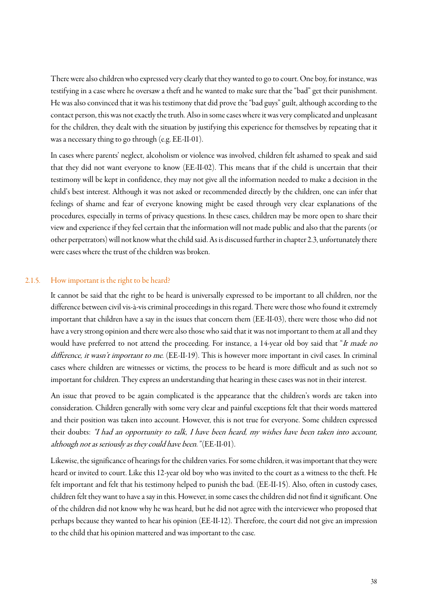There were also children who expressed very clearly that they wanted to go to court. One boy, for instance, was testifying in a case where he oversaw a theft and he wanted to make sure that the "bad" get their punishment. He was also convinced that it was his testimony that did prove the "bad guys" guilt, although according to the contact person, this was not exactly the truth. Also in some cases where it was very complicated and unpleasant for the children, they dealt with the situation by justifying this experience for themselves by repeating that it was a necessary thing to go through (e.g. EE-II-01).

In cases where parents' neglect, alcoholism or violence was involved, children felt ashamed to speak and said that they did not want everyone to know (EE-II-02). This means that if the child is uncertain that their testimony will be kept in confidence, they may not give all the information needed to make a decision in the child's best interest. Although it was not asked or recommended directly by the children, one can infer that feelings of shame and fear of everyone knowing might be eased through very clear explanations of the procedures, especially in terms of privacy questions. In these cases, children may be more open to share their view and experience if they feel certain that the information will not made public and also that the parents (or other perpetrators) will not know what the child said. As is discussed further in chapter 2.3, unfortunately there were cases where the trust of the children was broken.

#### 2.1.5. How important is the right to be heard?

It cannot be said that the right to be heard is universally expressed to be important to all children, nor the difference between civil vis-à-vis criminal proceedings in this regard. There were those who found it extremely important that children have a say in the issues that concern them (EE-II-03), there were those who did not have a very strong opinion and there were also those who said that it was not important to them at all and they would have preferred to not attend the proceeding. For instance, a 14-year old boy said that "It made no difference, it wasn't important to me. (EE-II-19). This is however more important in civil cases. In criminal cases where children are witnesses or victims, the process to be heard is more difficult and as such not so important for children. They express an understanding that hearing in these cases was not in their interest.

An issue that proved to be again complicated is the appearance that the children's words are taken into consideration. Children generally with some very clear and painful exceptions felt that their words mattered and their position was taken into account. However, this is not true for everyone. Some children expressed their doubts: "I had an opportunity to talk, I have been heard, my wishes have been taken into account, although not as seriously as they could have been." (EE-II-01).

Likewise, the significance of hearings for the children varies. For some children, it was important that they were heard or invited to court. Like this 12-year old boy who was invited to the court as a witness to the theft. He felt important and felt that his testimony helped to punish the bad. (EE-II-15). Also, often in custody cases, children felt they want to have a say in this. However, in some cases the children did not find it significant. One of the children did not know why he was heard, but he did not agree with the interviewer who proposed that perhaps because they wanted to hear his opinion (EE-II-12). Therefore, the court did not give an impression to the child that his opinion mattered and was important to the case.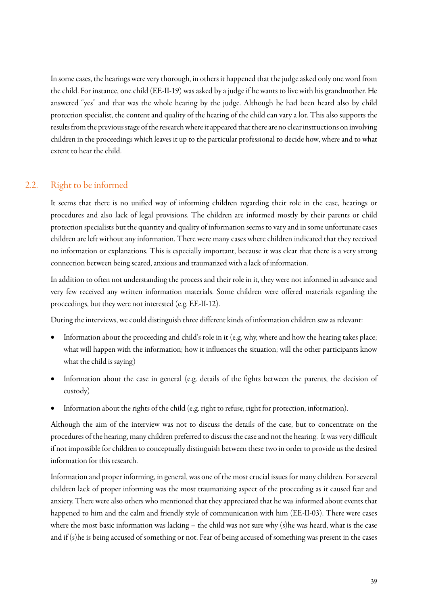In some cases, the hearings were very thorough, in others it happened that the judge asked only one word from the child. For instance, one child (EE-II-19) was asked by a judge if he wants to live with his grandmother. He answered "yes" and that was the whole hearing by the judge. Although he had been heard also by child protection specialist, the content and quality of the hearing of the child can vary a lot. This also supports the results from the previous stage of the research where it appeared that there are no clearinstructions on involving children in the proceedings which leaves it up to the particular professional to decide how, where and to what extent to hear the child.

### 2.2. Right to be informed

<span id="page-38-0"></span>It seems that there is no unified way of informing children regarding their role in the case, hearings or procedures and also lack of legal provisions. The children are informed mostly by their parents or child protection specialists but the quantity and quality of information seems to vary and in some unfortunate cases children are left without any information. There were many cases where children indicated that they received no information or explanations. This is especially important, because it was clear that there is a very strong connection between being scared, anxious and traumatized with a lack of information.

In addition to often not understanding the processand their role in it, they were not informed in advance and very few received any written information materials. Some children were offered materials regarding the proceedings, but they were not interested (e.g. EE-II-12).

During the interviews, we could distinguish three different kinds of information children saw as relevant:

- Information about the proceeding and child's role in it (e.g. why, where and how the hearing takes place; what will happen with the information; how it influences the situation; will the other participants know what the child is saying)
- Information about the case in general (e.g. details of the fights between the parents, the decision of custody)
- Information about the rights of the child (e.g. right to refuse, right for protection, information).

Although the aim of the interview was not to discuss the details of the case, but to concentrate on the procedures of the hearing, many children preferred to discuss the case and not the hearing. It was very difficult if not impossible for children to conceptually distinguish between these two in order to provide us the desired information for this research.

Information and proper informing, in general, was one of the most crucial issues for many children. For several children lack of proper informing was the most traumatizing aspect of the proceeding as it caused fear and anxiety. There were also others who mentioned that they appreciated that he was informed about events that happened to him and the calm and friendly style of communication with him (EE-II-03). There were cases where the most basic information was lacking – the child was not sure why (s) he was heard, what is the case and if (s)he is being accused of something or not. Fear of being accused of something was present in the cases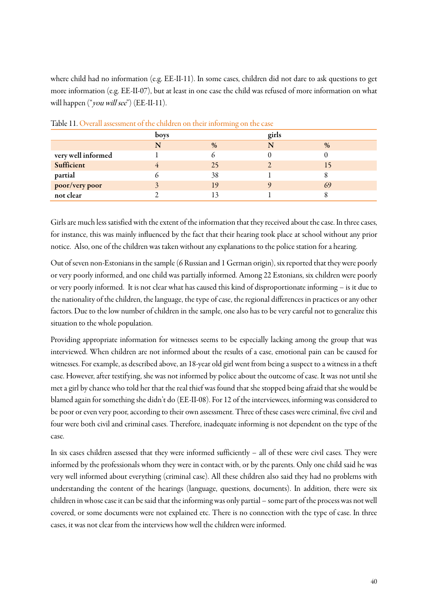where child had no information (e.g. EE-II-11). In some cases, children did not dare to ask questions to get more information (e.g. EE-II-07), but at least in one case the child was refused of more information on what will happen ("you will see") (EE-II-11).

|                    | boys | $\sim$ | girls |      |
|--------------------|------|--------|-------|------|
|                    | N    | $\%$   | N     | $\%$ |
| very well informed |      |        |       |      |
| Sufficient         |      | 25     |       |      |
| partial            |      | 38     |       |      |
| poor/very poor     |      | 19     |       | 69   |
| not clear          |      |        |       |      |

Table 11. Overall assessment of the children on their informing on the case

Girls are much less satisfied with the extent of the information that they received about the case. In three cases, for instance, this was mainly influenced by the fact that their hearing took place at school without any prior notice. Also, one of the children was taken without any explanations to the police station for a hearing.

Out of seven non-Estonians in the sample (6 Russian and 1 German origin), six reported that they were poorly or very poorly informed, and one child was partially informed. Among 22 Estonians, six children were poorly or very poorly informed. It is not clear what has caused this kind of disproportionate informing – is it due to the nationality of the children, the language, the type of case, the regional differences in practices or any other factors. Due to the low number of children in the sample, one also has to be very careful not to generalize this situation to the whole population.

Providing appropriate information for witnesses seems to be especially lacking among the group that was interviewed. When children are not informed about the results of a case, emotional pain can be caused for witnesses. For example, as described above, an 18-year old girl went from being a suspect to a witness in a theft case. However, after testifying, she was not informed by police about the outcome of case. It was not until she met a girl by chance who told her that the real thief was found that she stopped being afraid that she would be blamed again for something she didn't do (EE-II-08). For 12 of the interviewees, informing was considered to be poor or even very poor, according to their own assessment. Three of these cases were criminal, five civil and four were both civil and criminal cases. Therefore, inadequate informing is not dependent on the type of the case.

In six cases children assessed that they were informed sufficiently – all of these were civil cases. They were informed by the professionals whom they were in contact with, or by the parents. Only one child said he was very well informed about everything (criminal case). All these children also said they had no problems with understanding the content of the hearings (language, questions, documents). In addition, there were six children in whose case it can be said that the informing was only partial – some part of the process was not well covered, or some documents were not explained etc. There is no connection with the type of case. In three cases, it was not clear from the interviews how well the children were informed.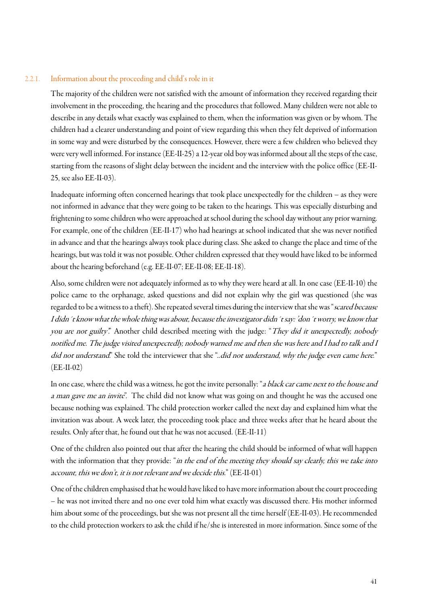#### 2.2.1. Information about the proceeding and child's role in it

The majority of the children were not satisfied with the amount of information they received regarding their involvement in the proceeding, the hearing and the procedures that followed. Many children were not able to describe in any details what exactly was explained to them, when the information was given or by whom. The children had a clearer understanding and point of view regarding this when they felt deprived of information in some way and were disturbed by the consequences. However, there were a few children who believed they were very well informed. For instance (EE-II-25) a 12-year old boy was informed about all the steps of the case, starting from the reasons of slight delay between the incident and the interview with the police office (EE-II-25, see also EE-II-03).

Inadequate informing often concerned hearings that took place unexpectedly for the children – as they were not informed in advance that they were going to be taken to the hearings. This was especially disturbing and frightening to some children who were approached at school during the school day without any prior warning. For example, one of the children (EE-II-17) who had hearings at school indicated that she was never notified in advance and that the hearings always took place during class. She asked to change the place and time of the hearings, but was told it was not possible. Other children expressed that they would have liked to be informed about the hearing beforehand (e.g. EE-II-07; EE-II-08; EE-II-18).

Also, some children were not adequately informed as to why they were heard at all. In one case (EE-II-10) the police came to the orphanage, asked questions and did not explain why the girl was questioned (she was regarded to be a witness to a theft). She repeated several times during the interview that she was "scared because I didn´t know what the whole thing was about, because the investigator didn´t say: 'don´t worry, we know that you are not guilty." Another child described meeting with the judge: "They did it unexpectedly, nobody notified me. The judge visited unexpectedly, nobody warned me and then she was here and I had to talk and I did not understand." She told the interviewer that she "..did not understand, why the judge even came here." (EE-II-02)

In one case, where the child was a witness, he got the invite personally: "a black car came next to the house and a man gave me an invite". The child did not know what was going on and thought he was the accused one because nothing was explained. The child protection worker called the next day and explained him what the invitation was about. A week later, the proceeding took place and three weeks after that he heard about the results. Only after that, he found out that he was not accused. (EE-II-11)

One of the children also pointed out that after the hearing the child should be informed of what will happen with the information that they provide: "in the end of the meeting they should say clearly, this we take into account, this we don't, it is not relevant and we decide this." (EE-II-01)

One of the children emphasised that he would have liked to have more information about the court proceeding – he was not invited there and no one ever told him what exactly was discussed there. His mother informed him about some of the proceedings, but she was not present all the time herself (EE-II-03). He recommended to the child protection workers to ask the child if he/she is interested in more information. Since some of the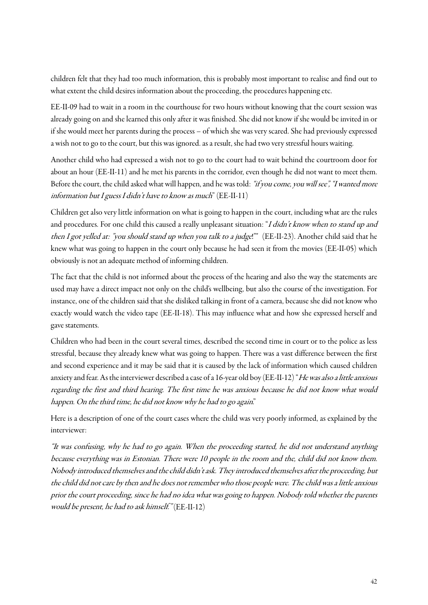children felt that they had too much information, this is probably most important to realise and find out to what extent the child desires information about the proceeding, the procedures happening etc.

EE-II-09 had to wait in a room in the courthouse for two hours without knowing that the court session was already going on and she learned this only after it was finished. She did not know if she would be invited in or if she would meet her parents during the process – of which she was very scared. She had previously expressed a wish not to go to the court, but this was ignored. as a result, she had two very stressful hours waiting.

Another child who had expressed a wish not to go to the court had to wait behind the courtroom door for about an hour (EE-II-11) and he met his parents in the corridor, even though he did not want to meet them. Before the court, the child asked what will happen, and he was told: "if you come, you will see", "I wanted more information but I guess I didn't have to know as much"  $(EE-II-11)$ 

Children get also very little information on what is going to happen in the court, including what are the rules and procedures. For one child this caused a really unpleasant situation: "I didn't know when to stand up and then I got yelled at: "you should stand up when you talk to a judge!"" (EE-II-23). Another child said that he knew what was going to happen in the court only because he had seen it from the movies (EE-II-05) which obviously is not an adequate method of informing children.

The fact that the child is not informed about the process of the hearing and also the way the statements are used may have a direct impact not only on the child's wellbeing, but also the course of the investigation. For instance, one of the children said that she disliked talking in front of a camera, because she did not know who exactly would watch the video tape (EE-II-18). This may influence what and how she expressed herself and gave statements.

Children who had been in the court several times, described the second time in court or to the police as less stressful, because they already knew what was going to happen. There was a vast difference between the first and second experience and it may be said that it is caused by the lack of information which caused children anxiety and fear. As the interviewer described a case of a 16-year old boy (EE-II-12) "He was also a little anxious regarding the first and third hearing. The first time he was anxious because he did not know what would happen. On the third time, he did not know why he had to go again."

Here is a description of one of the court cases where the child was very poorly informed, as explained by the interviewer:

"It was confusing, why he had to go again. When the proceeding started, he did not understand anything because everything was in Estonian. There were 10 people in the room and the, child did not know them. Nobody introduced themselvesand the child didn't ask. They introduced themselves after the proceeding, but the child did not care by then and he does not remember who those people were. The child was a little anxious prior the court proceeding, since he had no idea what was going to happen. Nobody told whether the parents would be present, he had to ask himself." (EE-II-12)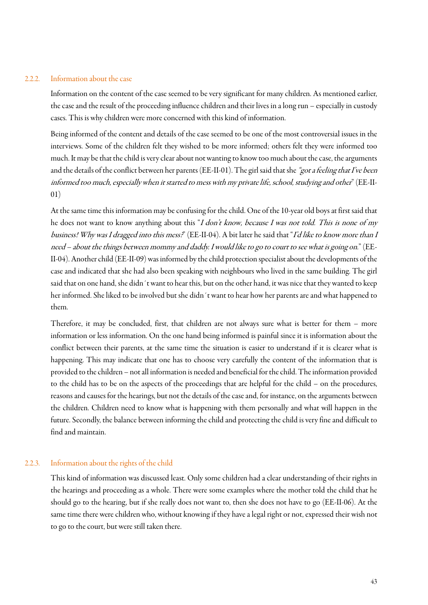#### 2.2.2. Information about the case

Information on the content of the case seemed to be very significant for many children. As mentioned earlier, the case and the result of the proceeding influence children and their lives in a long run – especially in custody cases. This is why children were more concerned with this kind of information.

Being informed of the content and details of the case seemed to be one of the most controversial issues in the interviews. Some of the children felt they wished to be more informed; others felt they were informed too much. It may be that the child is very clear about not wanting to know too much about the case, the arguments and the details of the conflict between her parents (EE-II-01). The girl said that she "got a feeling that I've been informed too much, especially when it started to mess with my private life, school, studying and other" (EE-II-01)

At the same time this information may be confusing for the child. One of the 10-year old boys at first said that he does not want to know anything about this "I don't know, because I was not told. This is none of my business! Why was I dragged into this mess?" (EE-II-04). A bit later he said that "I'd like to know more than I need – about the things between mommy and daddy. I would like to go to court to see what is going on." (EE-II-04). Another child (EE-II-09) was informed by the child protection specialist about the developments of the case and indicated that she had also been speaking with neighbours who lived in the same building. The girl said that on one hand, she didn´t want to hear this, but on the other hand, it was nice that they wanted to keep her informed. She liked to be involved but she didn´t want to hear how her parents are and what happened to them.

Therefore, it may be concluded, first, that children are not always sure what is better for them – more information or less information. On the one hand being informed is painful since it is information about the conflict between their parents, at the same time the situation is easier to understand if it is clearer what is happening. This may indicate that one has to choose very carefully the content of the information that is provided to the children – not all information is needed and beneficial for the child. The information provided to the child has to be on the aspects of the proceedings that are helpful for the child – on the procedures, reasons and causes for the hearings, but not the details of the case and, for instance, on the arguments between the children. Children need to know what is happening with them personally and what will happen in the future. Secondly, the balance between informing the child and protecting the child is very fine and difficult to find and maintain.

#### 2.2.3. Information about the rights of the child

This kind of information was discussed least. Only some children had a clear understanding of their rights in the hearings and proceeding as a whole. There were some examples where the mother told the child that he should go to the hearing, but if she really does not want to, then she does not have to go (EE-II-06). At the same time there were children who, without knowing if they have a legal right or not, expressed their wish not to go to the court, but were still taken there.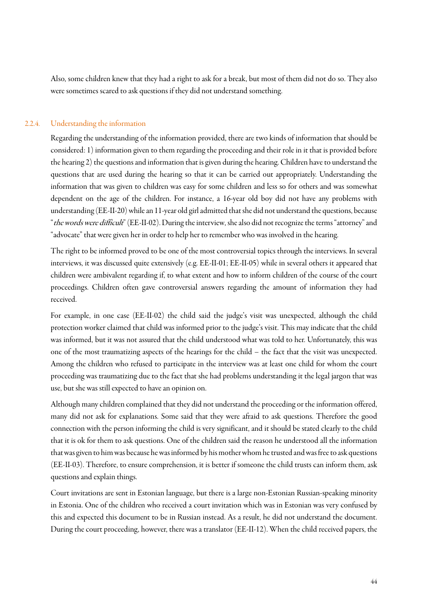Also, some children knew that they had a right to ask for a break, but most of them did not do so. They also were sometimes scared to ask questions if they did not understand something.

#### 2.2.4. Understanding the information

Regarding the understanding of the information provided, there are two kinds of information that should be considered: 1) information given to them regarding the proceeding and their role in it that is provided before the hearing 2) the questions and information that is given during the hearing. Children have to understand the questions that are used during the hearing so that it can be carried out appropriately. Understanding the information that was given to children was easy for some children and less so for others and was somewhat dependent on the age of the children. For instance, a 16-year old boy did not have any problems with understanding (EE-II-20) while an 11-year old girl admitted that she did not understand the questions, because "the words were difficult" (EE-II-02). During the interview, she also did not recognize the terms "attorney" and "advocate" that were given her in order to help her to remember who was involved in the hearing.

The right to be informed proved to be one of the most controversial topics through the interviews. In several interviews, it was discussed quite extensively (e.g. EE-II-01; EE-II-05) while in several others it appeared that children were ambivalent regarding if, to what extent and how to inform children of the course of the court proceedings. Children often gave controversial answers regarding the amount of information they had received.

For example, in one case (EE-II-02) the child said the judge's visit was unexpected, although the child protection worker claimed that child was informed prior to the judge's visit. This may indicate that the child was informed, but it was not assured that the child understood what was told to her. Unfortunately, this was one of the most traumatizing aspects of the hearings for the child – the fact that the visit was unexpected. Among the children who refused to participate in the interview was at least one child for whom the court proceeding was traumatizing due to the fact that she had problems understanding it the legal jargon that was use, but she was still expected to have an opinion on.

Although many children complained that they did not understand the proceeding or the information offered, many did not ask for explanations. Some said that they were afraid to ask questions. Therefore the good connection with the person informing the child is very significant, and it should be stated clearly to the child that it is ok for them to ask questions. One of the children said the reason he understood all the information that was given to him was because he was informed by his mother whom he trusted and was free to ask questions (EE-II-03). Therefore, to ensure comprehension, it is better if someone the child trusts can inform them, ask questions and explain things.

Court invitations are sent in Estonian language, but there is a large non-Estonian Russian-speaking minority in Estonia. One of the children who received a court invitation which was in Estonian was very confused by this and expected this document to be in Russian instead. As a result, he did not understand the document. During the court proceeding, however, there was a translator (EE-II-12). When the child received papers, the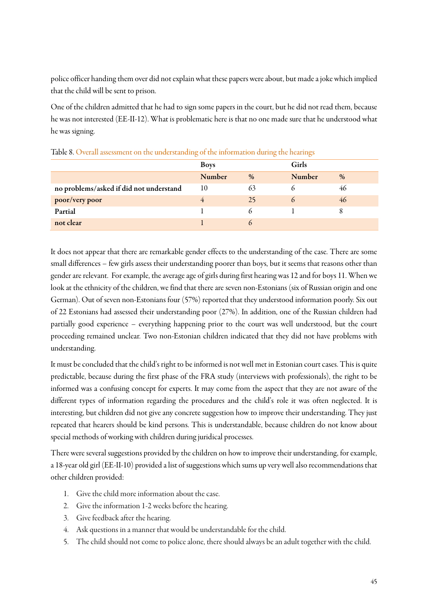police officer handing them over did not explain what these papers were about, but made a joke which implied that the child will be sent to prison.

One of the children admitted that he had to sign some papers in the court, but he did not read them, because he was not interested (EE-II-12). What is problematic here is that no one made sure that he understood what he was signing.

|                                         | <b>Boys</b> |      | Girls    |      |
|-----------------------------------------|-------------|------|----------|------|
|                                         | Number      | $\%$ | Number   | $\%$ |
| no problems/asked if did not understand | 10          | 63   |          | 46   |
| poor/very poor                          | 4           | 25   | $\Omega$ | 46   |
| Partial                                 |             | b.   |          | 8    |
| not clear                               |             | ()   |          |      |

Table 8. Overall assessment on the understanding of the information during the hearings

It does not appear that there are remarkable gender effects to the understanding of the case. There are some small differences – few girls assess their understanding poorer than boys, but it seems that reasons other than gender are relevant. For example, the average age of girls during first hearing was 12 and for boys 11. When we look at the ethnicity of the children, we find that there are seven non-Estonians (six of Russian origin and one German). Out of seven non-Estonians four (57%) reported that they understood information poorly. Six out of 22 Estonians had assessed their understanding poor (27%). In addition, one of the Russian children had partially good experience – everything happening prior to the court was well understood, but the court proceeding remained unclear. Two non-Estonian children indicated that they did not have problems with understanding.

It must be concluded that the child's right to be informed is not well met in Estonian court cases. This is quite predictable, because during the first phase of the FRA study (interviews with professionals), the right to be informed was a confusing concept for experts. It may come from the aspect that they are not aware of the different types of information regarding the procedures and the child's role it was often neglected. It is interesting, but children did not give any concrete suggestion how to improve their understanding. They just repeated that hearers should be kind persons. This is understandable, because children do not know about special methods of working with children during juridical processes.

There were several suggestions provided by the children on how to improve their understanding, for example, a 18-year old girl (EE-II-10) provided a list of suggestions which sums up very well also recommendations that other children provided:

- 1. Give the child more information about the case.
- 2. Give the information 1-2 weeks before the hearing.
- 3. Give feedback after the hearing.
- 4. Ask questions in a manner that would be understandable for the child.
- 5. The child should not come to police alone, there should always be an adult together with the child.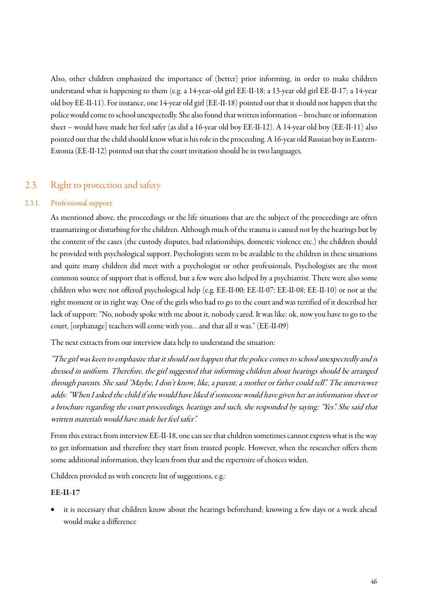Also, other children emphasized the importance of (better) prior informing, in order to make children understand what is happening to them (e.g. a 14-year-old girl EE-II-18; a 13-year old girl EE-II-17; a 14-year old boy EE-II-11). For instance, one 14-year old girl (EE-II-18) pointed out that it should not happen that the police would come to school unexpectedly. She also found that written information – brochure or information sheet – would have made her feel safer (as did a 16-year old boy EE-II-12). A 14-year old boy (EE-II-11) also pointed out that the child should know what is his role in the proceeding. A 16-year old Russian boy in Eastern-Estonia (EE-II-12) pointed out that the court invitation should be in two languages.

# <span id="page-45-0"></span>2.3. Right to protection and safety

#### 2.3.1. Professional support

As mentioned above, the proceedings or the life situations that are the subject of the proceedings are often traumatizing or disturbing for the children. Although much of the trauma is caused not by the hearings but by the content of the cases (the custody disputes, bad relationships, domestic violence etc.) the children should be provided with psychological support. Psychologists seem to be available to the children in these situations and quite many children did meet with a psychologist or other professionals. Psychologists are the most common source of support that is offered, but a few were also helped by a psychiatrist. There were also some children who were not offered psychological help (e.g. EE-II-00; EE-II-07; EE-II-08; EE-II-10) or not at the right moment or in right way. One of the girls who had to go to the court and was terrified of it described her lack of support: "No, nobody spoke with me about it, nobody cared. It was like: ok, now you have to go to the court, [orphanage] teachers will come with you… and that all it was." (EE-II-09)

The next extracts from our interview data help to understand the situation:

"The girl was keen to emphasize that it should not happen that the police comes to school unexpectedly and is dressed in uniform. Therefore, the girl suggested that informing children about hearings should be arranged through parents. She said "Maybe, I don't know, like, a parent, a mother or father could tell". The interviewer adds: "When I asked the child if she would have liked if someone would have given her an information sheet or a brochure regarding the court proceedings, hearings and such, she responded by saying: "Yes". She said that written materials would have made her feel safer".

From this extract from interview EE-II-18, one can see that children sometimes cannot express what is the way to get information and therefore they start from trusted people. However, when the researcher offers them some additional information, they learn from that and the repertoire of choices widen.

Children provided us with concrete list of suggestions, e.g.:

#### EE-II-17

it is necessary that children know about the hearings beforehand; knowing a few days or a week ahead would make a difference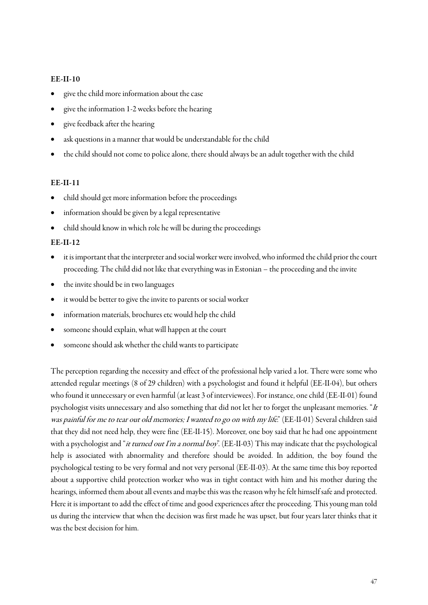#### EE-II-10

- give the child more information about the case
- give the information 1-2 weeks before the hearing
- give feedback after the hearing
- ask questions in a manner that would be understandable for the child
- the child should not come to police alone, there should always be an adult together with the child

#### EE-II-11

- child should get more information before the proceedings
- information should be given by a legal representative
- child should know in which role he will be during the proceedings

#### EE-II-12

- it is important that the interpreter and social worker were involved, who informed the child prior the court proceeding. The child did not like that everything was in Estonian – the proceeding and the invite
- the invite should be in two languages
- it would be better to give the invite to parents or social worker
- information materials, brochures etc would help the child
- someone should explain, what will happen at the court
- someone should ask whether the child wants to participate

The perception regarding the necessity and effect of the professional help varied a lot. There were some who attended regular meetings (8 of 29 children) with a psychologist and found it helpful (EE-II-04), but others who found it unnecessary or even harmful (at least 3 of interviewees). For instance, one child (EE-II-01) found psychologist visits unnecessary and also something that did not let her to forget the unpleasant memories. "It was painful for me to tear out old memories; I wanted to go on with my life." (EE-II-01) Several children said that they did not need help, they were fine (EE-II-15). Moreover, one boy said that he had one appointment with a psychologist and "it turned out I'm a normal boy". (EE-II-03) This may indicate that the psychological help is associated with abnormality and therefore should be avoided. In addition, the boy found the psychological testing to be very formal and not very personal (EE-II-03). At the same time this boy reported about a supportive child protection worker who was in tight contact with him and his mother during the hearings, informed them about all events and maybe this was the reason why he felt himself safe and protected. Here it is important to add the effect of time and good experiences after the proceeding. This young man told us during the interview that when the decision was first made he was upset, but four years later thinks that it was the best decision for him.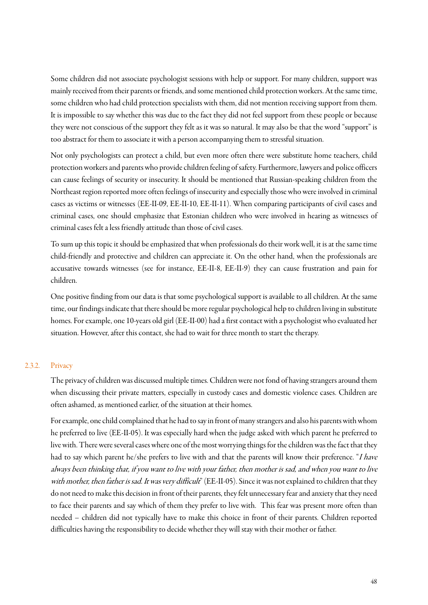Some children did not associate psychologist sessions with help or support. For many children, support was mainly received from their parents or friends, and some mentioned child protection workers.At the same time, some children who had child protection specialists with them, did not mention receiving support from them. It is impossible to say whether this was due to the fact they did not feel support from these people or because they were not conscious of the support they felt as it was so natural. It may also be that the word "support" is too abstract for them to associate it with a person accompanying them to stressful situation.

Not only psychologists can protect a child, but even more often there were substitute home teachers, child protection workersand parents who provide children feeling of safety. Furthermore, lawyers and police officers can cause feelings of security or insecurity. It should be mentioned that Russian-speaking children from the Northeast region reported more often feelings of insecurityand especially those who were involved in criminal cases as victims or witnesses (EE-II-09, EE-II-10, EE-II-11). When comparing participants of civil cases and criminal cases, one should emphasize that Estonian children who were involved in hearing as witnesses of criminal cases felt a less friendly attitude than those of civil cases.

To sum up this topic it should be emphasized that when professionals do their work well, it is at the same time child-friendly and protective and children can appreciate it. On the other hand, when the professionals are accusative towards witnesses (see for instance, EE-II-8, EE-II-9) they can cause frustration and pain for children.

One positive finding from our data is that some psychological support is available to all children. At the same time, our findings indicate that there should be more regular psychological help to children living in substitute homes. For example, one 10-years old girl (EE-II-00) had a first contact with a psychologist who evaluated her situation. However, after this contact, she had to wait for three month to start the therapy.

#### 2.3.2. Privacy

The privacy of children was discussed multiple times. Children were not fond of having strangers around them when discussing their private matters, especially in custody cases and domestic violence cases. Children are often ashamed, as mentioned earlier, of the situation at their homes.

For example, one child complained that he had to say in front of many strangers and also his parents with whom he preferred to live (EE-II-05). It was especially hard when the judge asked with which parent he preferred to live with. There were several cases where one of the most worrying things for the children was the fact that they had to say which parent he/she prefers to live with and that the parents will know their preference. "I have always been thinking that, if you want to live with your father, then mother is sad, and when you want to live with mother, then father is sad. It was very difficult" (EE-II-05). Since it was not explained to children that they do not need to make this decision in front of their parents, they felt unnecessary fear and anxiety that they need to face their parents and say which of them they prefer to live with. This fear was present more often than needed – children did not typically have to make this choice in front of their parents. Children reported difficulties having the responsibility to decide whether they will stay with their mother or father.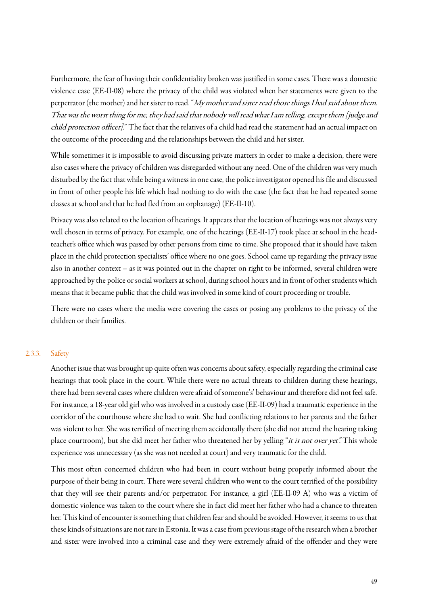Furthermore, the fear of having their confidentiality broken was justified in some cases. There was a domestic violence case (EE-II-08) where the privacy of the child was violated when her statements were given to the perpetrator (the mother) and her sister to read. "My mother and sister read those things I had said about them. That was the worst thing for me, they had said that nobody will read what I am telling, except them [judge and child protection officer]." The fact that the relatives of a child had read the statement had an actual impact on the outcome of the proceeding and the relationships between the child and her sister.

While sometimes it is impossible to avoid discussing private matters in order to make a decision, there were also cases where the privacy of children was disregarded without any need. One of the children was very much disturbed by the fact that while being a witness in one case, the police investigator opened his file and discussed in front of other people his life which had nothing to do with the case (the fact that he had repeated some classes at school and that he had fled from an orphanage) (EE-II-10).

Privacy was also related to the location of hearings. It appears that the location of hearings was not always very well chosen in terms of privacy. For example, one of the hearings (EE-II-17) took place at school in the headteacher's office which was passed by other persons from time to time. She proposed that it should have taken place in the child protection specialists' office where no one goes. School came up regarding the privacy issue also in another context – as it was pointed out in the chapter on right to be informed, several children were approached by the police or social workers at school, during school hours and in front of other students which means that it became public that the child was involved in some kind of court proceeding or trouble.

There were no cases where the media were covering the cases or posing any problems to the privacy of the children or their families.

#### 2.3.3. Safety

Another issue that was brought up quite often was concerns about safety, especially regarding the criminal case hearings that took place in the court. While there were no actual threats to children during these hearings, there had been several cases where children were afraid of someone's' behaviour and therefore did not feel safe. For instance,a 18-year old girl who was involved in a custody case (EE-II-09) had a traumatic experience in the corridor of the courthouse where she had to wait. She had conflicting relations to her parents and the father was violent to her. She was terrified of meeting them accidentally there (she did not attend the hearing taking place courtroom), but she did meet her father who threatened her by yelling "it is not over yet". This whole experience was unnecessary (as she was not needed at court) and very traumatic for the child.

This most often concerned children who had been in court without being properly informed about the purpose of their being in court. There were several children who went to the court terrified of the possibility that they will see their parents and/or perpetrator. For instance, a girl (EE-II-09 A) who was a victim of domestic violence was taken to the court where she in fact did meet her father who had a chance to threaten her. This kind of encounter is something that children fear and should be avoided. However, it seems to us that these kinds of situations are not rare in Estonia. It was a case from previous stage of the research when a brother and sister were involved into a criminal case and they were extremely afraid of the offender and they were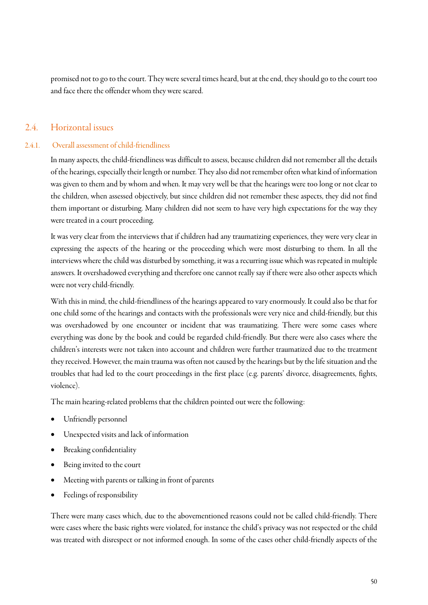promised not to go to the court. They were several times heard, but at the end, they should go to the court too and face there the offender whom they were scared.

### <span id="page-49-0"></span>2.4. Horizontal issues

#### 2.4.1. Overall assessment of child-friendliness

In many aspects, the child-friendliness was difficult to assess, because children did not remember all the details of the hearings, especially their length or number.They also did not remember often what kind of information was given to them and by whom and when. It may very well be that the hearings were too long or not clear to the children, when assessed objectively, but since children did not remember these aspects, they did not find them important or disturbing. Many children did not seem to have very high expectations for the way they were treated in a court proceeding.

It was very clear from the interviews that if children had any traumatizing experiences, they were very clear in expressing the aspects of the hearing or the proceeding which were most disturbing to them. In all the interviews where the child was disturbed by something, it was a recurring issue which was repeated in multiple answers. It overshadowed everything and therefore one cannot really say if there were also other aspects which were not very child-friendly.

With this in mind, the child-friendliness of the hearings appeared to varyenormously. It could also be that for one child some of the hearings and contacts with the professionals were very nice and child-friendly, but this was overshadowed by one encounter or incident that was traumatizing. There were some cases where everything was done by the book and could be regarded child-friendly. But there were also cases where the children's interests were not taken into account and children were further traumatized due to the treatment they received. However, the main trauma was often not caused by the hearings but by the life situation and the troubles that had led to the court proceedings in the first place (e.g. parents' divorce, disagreements, fights, violence).

The main hearing-related problems that the children pointed out were the following:

- Unfriendly personnel
- Unexpected visits and lack of information
- Breaking confidentiality
- Being invited to the court
- Meeting with parents or talking in front of parents
- Feelings of responsibility

There were many cases which, due to the abovementioned reasons could not be called child-friendly. There were cases where the basic rights were violated, for instance the child's privacy was not respected or the child was treated with disrespect or not informed enough. In some of the cases other child-friendly aspects of the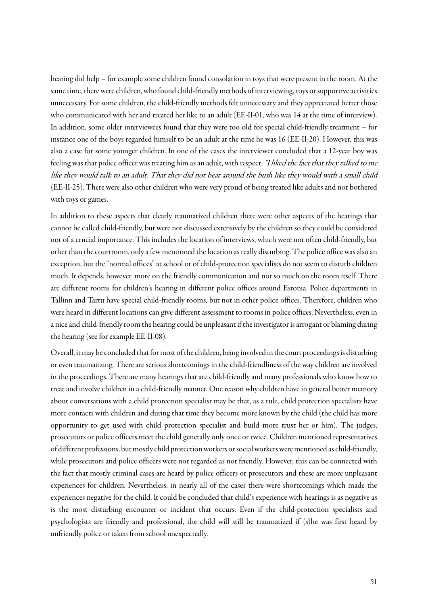hearing did help – for example some children found consolation in toys that were present in the room. At the same time, there were children, who found child-friendly methods of interviewing, toys or supportive activities unnecessary. For some children, the child-friendly methods felt unnecessary and they appreciated better those who communicated with her and treated her like to an adult (EE-II-01, who was 14 at the time of interview). In addition, some older interviewees found that they were too old for special child-friendly treatment – for instance one of the boys regarded himself to be an adult at the time he was 16 (EE-II-20). However, this was also a case for some younger children. In one of the cases the interviewer concluded that a 12-year boy was feeling was that police officer was treating him as an adult, with respect. "I liked the fact that they talked to me like they would talk to an adult. That they did not beat around the bush like they would with a small child (EE-II-25). There were also other children who were very proud of being treated like adults and not bothered with toys or games.

In addition to these aspects that clearly traumatized children there were other aspects of the hearings that cannot be called child-friendly, but were not discussed extensively by the children so they could be considered not of a crucial importance. This includes the location of interviews, which were not often child-friendly, but other than the courtroom, only a few mentioned the location as really disturbing. The police office was also an exception, but the "normal offices" at school or of child-protection specialists do not seem to disturb children much. It depends, however, more on the friendly communication and not so much on the room itself. There are different rooms for children's hearing in different police offices around Estonia. Police departments in Tallinn and Tartu have special child-friendly rooms, but not in other police offices. Therefore, children who were heard in different locations can give different assessment to rooms in police offices. Nevertheless, even in a nice and child-friendly room the hearing could be unpleasant if the investigator is arrogant or blaming during the hearing (see for example EE-II-08).

Overall, it may be concluded that for most of the children, being involved in the court proceedings is disturbing or even traumatizing. There are serious shortcomings in the child-friendliness of the way children are involved in the proceedings. There are many hearings that are child-friendly and many professionals who know how to treat and involve children in a child-friendly manner. One reason why children have in general better memory about conversations with a child protection specialist may be that, as a rule, child protection specialists have more contacts with children and during that time they become more known by the child (the child has more opportunity to get used with child protection specialist and build more trust her or him). The judges, prosecutors or police officers meet the child generally only once or twice. Children mentioned representatives of different professions, but mostly child protection workers or social workers were mentioned as child-friendly, while prosecutors and police officers were not regarded as not friendly. However, this can be connected with the fact that mostly criminal cases are heard by police officers or prosecutors and these are more unpleasant experiences for children. Nevertheless, in nearly all of the cases there were shortcomings which made the experiences negative for the child. It could be concluded that child's experience with hearings is as negative as is the most disturbing encounter or incident that occurs. Even if the child-protection specialists and psychologists are friendly and professional, the child will still be traumatized if (s)he was first heard by unfriendly police or taken from school unexpectedly.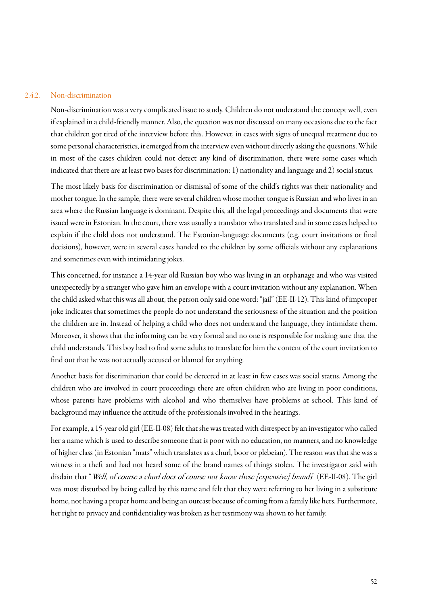#### 2.4.2. Non-discrimination

Non-discrimination was a very complicated issue to study. Children do not understand the concept well, even if explained in a child-friendly manner. Also, the question was not discussed on many occasions due to the fact that children got tired of the interview before this. However, in cases with signs of unequal treatment due to some personal characteristics, it emerged from the interview even without directly asking the questions. While in most of the cases children could not detect any kind of discrimination, there were some cases which indicated that there are at least two bases for discrimination: 1) nationality and language and 2) social status.

The most likely basis for discrimination or dismissal of some of the child's rights was their nationality and mother tongue. In the sample, there were several children whose mother tongue is Russian and who lives in an area where the Russian language is dominant. Despite this, all the legal proceedings and documents that were issued were in Estonian. In the court, there was usually a translator who translated and in some cases helped to explain if the child does not understand. The Estonian-language documents (e.g. court invitations or final decisions), however, were in several cases handed to the children by some officials without any explanations and sometimes even with intimidating jokes.

This concerned, for instance a 14-year old Russian boy who was living in an orphanage and who was visited unexpectedly by a stranger who gave him an envelope with a court invitation without any explanation. When the child asked what this was all about, the person only said one word: "jail" (EE-II-12). This kind of improper joke indicates that sometimes the people do not understand the seriousness of the situation and the position the children are in. Instead of helping a child who does not understand the language, they intimidate them. Moreover, it shows that the informing can be very formal and no one is responsible for making sure that the child understands. This boy had to find some adults to translate for him the content of the court invitation to find out that he was not actually accused or blamed for anything.

Another basis for discrimination that could be detected in at least in few cases was social status. Among the children who are involved in court proceedings there are often children who are living in poor conditions, whose parents have problems with alcohol and who themselves have problems at school. This kind of background may influence the attitude of the professionals involved in the hearings.

For example, a 15-year old girl (EE-II-08) felt that she was treated with disrespect by an investigator who called her a name which is used to describe someone that is poor with no education, no manners, and no knowledge of higher class (in Estonian "mats" which translates as a churl, boor or plebeian). The reason was that she was a witness in a theft and had not heard some of the brand names of things stolen. The investigator said with disdain that "Well, of course a churl does of course not know these [expensive] brands" (EE-II-08). The girl was most disturbed by being called by this name and felt that they were referring to her living in a substitute home, not having a proper home and being an outcast because of coming from a family like hers. Furthermore, her right to privacy and confidentiality was broken as her testimony was shown to her family.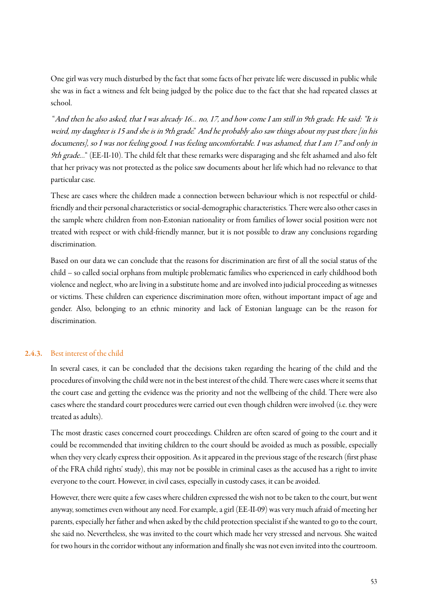One girl was very much disturbed by the fact that some facts of her private life were discussed in public while she was in fact a witness and felt being judged by the police due to the fact that she had repeated classes at school.

"And then he also asked, that I was already 16… no, 17, and how come I am still in 9th grade. He said: "It is weird, my daughter is 15 and she is in 9th grade." And he probably also saw things about my past there [in his documents], so I was not feeling good. I was feeling uncomfortable. I was ashamed, that I am 17 and only in 9th grade…" (EE-II-10). The child felt that these remarks were disparaging and she felt ashamed and also felt that her privacy was not protected as the police saw documents about her life which had no relevance to that particular case.

These are cases where the children made a connection between behaviour which is not respectful or childfriendly and their personal characteristics or social-demographic characteristics. There were also other cases in the sample where children from non-Estonian nationality or from families of lower social position were not treated with respect or with child-friendly manner, but it is not possible to draw any conclusions regarding discrimination.

Based on our data we can conclude that the reasons for discrimination are first of all the social status of the child – so called social orphans from multiple problematic families who experienced in early childhood both violence and neglect, who are living in a substitute home and are involved into judicial proceeding as witnesses or victims. These children can experience discrimination more often, without important impact of age and gender. Also, belonging to an ethnic minority and lack of Estonian language can be the reason for discrimination.

#### 2.4.3. Best interest of the child

In several cases, it can be concluded that the decisions taken regarding the hearing of the child and the procedures of involving the child were not in the best interest of the child. There were cases where it seems that the court case and getting the evidence was the priority and not the wellbeing of the child. There were also cases where the standard court procedures were carried out even though children were involved (i.e. they were treated as adults).

The most drastic cases concerned court proceedings. Children are often scared of going to the court and it could be recommended that inviting children to the court should be avoided as much as possible, especially when they very clearly express their opposition. As it appeared in the previous stage of the research (first phase of the FRA child rights' study), this may not be possible in criminal cases as the accused has a right to invite everyone to the court. However, in civil cases, especially in custody cases, it can be avoided.

However, there were quite a few cases where children expressed the wish not to be taken to the court, but went anyway, sometimes even without any need. For example, a girl (EE-II-09) was very much afraid of meeting her parents, especially her father and when asked by the child protection specialist if she wanted to go to the court, she said no. Nevertheless, she was invited to the court which made her very stressed and nervous. She waited for two hours in the corridor without any information and finally she was noteven invited into the courtroom.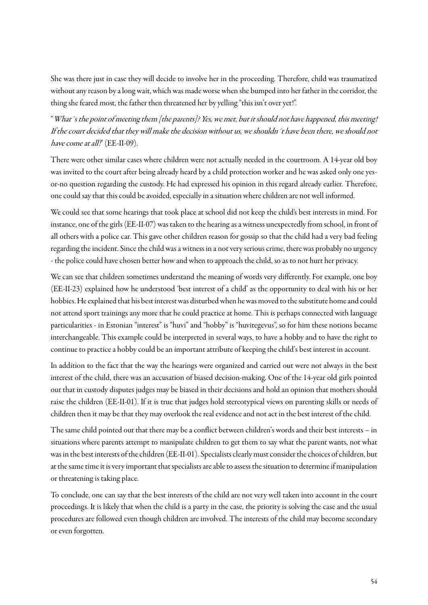She was there just in case they will decide to involve her in the proceeding. Therefore, child was traumatized without any reason by a long wait, which was made worse when she bumped into her father in the corridor, the thing she feared most, the father then threatened her by yelling "this isn't over yet!".

"What´s the point of meeting them [the parents]? Yes, we met, but it should not have happened, this meeting! If the court decided that they will make the decision without us, we shouldn´t have been there, we should not have come at all!" (EE-II-09).

There were other similar cases where children were not actually needed in the courtroom. A 14-year old boy was invited to the court after being already heard by a child protection worker and he was asked only one yesor-no question regarding the custody. He had expressed his opinion in this regard already earlier. Therefore, one could say that this could be avoided, especially in a situation where children are not well informed.

We could see that some hearings that took place at school did not keep the child's best interests in mind. For instance, one of the girls (EE-II-07) was taken to the hearing as a witness unexpectedly from school, in front of all others with a police car. This gave other children reason for gossip so that the child had a very bad feeling regarding the incident. Since the child was a witness in a not very serious crime, there was probably no urgency - the police could have chosen better how and when to approach the child, so as to not hurt her privacy.

We can see that children sometimes understand the meaning of words very differently. For example, one boy (EE-II-23) explained how he understood 'best interest of a child' as the opportunity to deal with his or her hobbies. He explained that his best interest was disturbed when he was moved to the substitute home and could not attend sport trainings any more that he could practice at home. This is perhaps connected with language particularities - in Estonian "interest" is "huvi" and "hobby" is "huvitegevus", so for him these notions became interchangeable. This example could be interpreted in several ways, to have a hobby and to have the right to continue to practice a hobby could be an important attribute of keeping the child's best interest in account.

In addition to the fact that the way the hearings were organized and carried out were not always in the best interest of the child, there was an accusation of biased decision-making. One of the 14-year old girls pointed out that in custody disputes judges may be biased in their decisions and hold an opinion that mothers should raise the children (EE-II-01). If it is true that judges hold stereotypical views on parenting skills or needs of children then it may be that they may overlook the real evidence and not act in the best interest of the child.

The same child pointed out that there may be a conflict between children's words and their best interests – in situations where parents attempt to manipulate children to get them to say what the parent wants, not what was in the best interests of the children (EE-II-01). Specialists clearly must consider the choices of children, but at the same time it is very important that specialists are able to assess the situation to determine if manipulation or threatening is taking place.

To conclude, one can say that the best interests of the child are not very well taken into account in the court proceedings. It is likely that when the child is a party in the case, the priority is solving the case and the usual procedures are followed even though children are involved. The interests of the child may become secondary or even forgotten.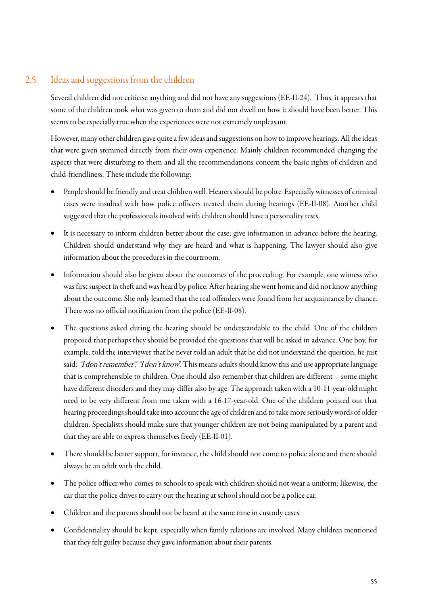# 2.5. Ideas and suggestions from the children

<span id="page-54-0"></span>Several children did not criticise anything and did not have any suggestions (EE-II-24). Thus, it appears that some of the children took what was given to them and did not dwell on how it should have been better. This seems to be especially true when the experiences were not extremely unpleasant.

However, many other children gave quite a few ideas and suggestions on how to improve hearings. All the ideas that were given stemmed directly from their own experience. Mainly children recommended changing the aspects that were disturbing to them and all the recommendations concern the basic rights of children and child-friendliness. These include the following:

- People should be friendly and treat children well. Hearers should be polite. Especially witnesses of criminal cases were insulted with how police officers treated them during hearings (EE-II-08). Another child suggested that the professionals involved with children should have a personality tests.
- It is necessary to inform children better about the case; give information in advance before the hearing. Children should understand why they are heard and what is happening. The lawyer should also give information about the procedures in the courtroom.
- Information should also be given about the outcomes of the proceeding. For example, one witness who was first suspect in theft and was heard by police. After hearing she went home and did not know anything about the outcome. She only learned that the real offenders were found from her acquaintance by chance. There was no official notification from the police(EE-II-08).
- The questions asked during the hearing should be understandable to the child. One of the children proposed that perhaps they should be provided the questions that will be asked in advance. One boy, for example, told the interviewer that he never told an adult that he did not understand the question, he just said: "I don't remember", "I don't know". This means adults should know this and use appropriate language that is comprehensible to children. One should also remember that children are different – some might have different disorders and they may differ also by age. The approach taken with a 10-11-year-old might need to be very different from one taken with a 16-17-year-old. One of the children pointed out that hearing proceedings should take into account the age of children and to take more seriously words of older children. Specialists should make sure that younger children are not being manipulated by a parent and that they are able to express themselves freely (EE-II-01).
- There should be better support, for instance, the child should not come to police alone and there should always be an adult with the child.
- The police officer who comes to schools to speak with children should not wear a uniform; likewise, the car that the police drives to carry out the hearing at school should not be a police car.
- Children and the parents should not be heard at the same time in custody cases.
- Confidentiality should be kept, especially when family relations are involved. Many children mentioned that they felt guilty because they gave information about their parents.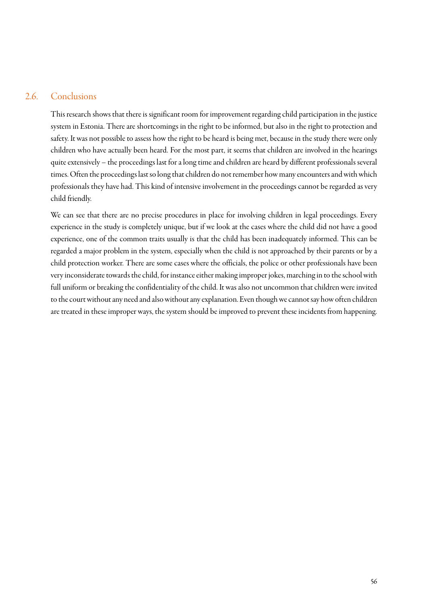### 2.6. Conclusions

<span id="page-55-0"></span>This research shows that there is significant room for improvement regarding child participation in the justice system in Estonia. There are shortcomings in the right to be informed, but also in the right to protection and safety. It was not possible to assess how the right to be heard is being met, because in the study there were only children who have actually been heard. For the most part, it seems that children are involved in the hearings quite extensively – the proceedings last for a long time and children are heard by different professionals several times. Often the proceedings last so long that children do not remember how many encounters and with which professionals they have had. This kind of intensive involvement in the proceedings cannot be regarded as very child friendly.

We can see that there are no precise procedures in place for involving children in legal proceedings. Every experience in the study is completely unique, but if we look at the cases where the child did not have a good experience, one of the common traits usually is that the child has been inadequately informed. This can be regarded a major problem in the system, especially when the child is not approached by their parents or by a child protection worker. There are some cases where the officials, the police or other professionals have been very inconsiderate towards the child, for instance either making improper jokes, marching in to the school with full uniform or breaking the confidentiality of the child. It was also not uncommon that children were invited to the court without any need and also without any explanation. Even though we cannot say how often children are treated in these improper ways, the system should be improved to prevent these incidents from happening.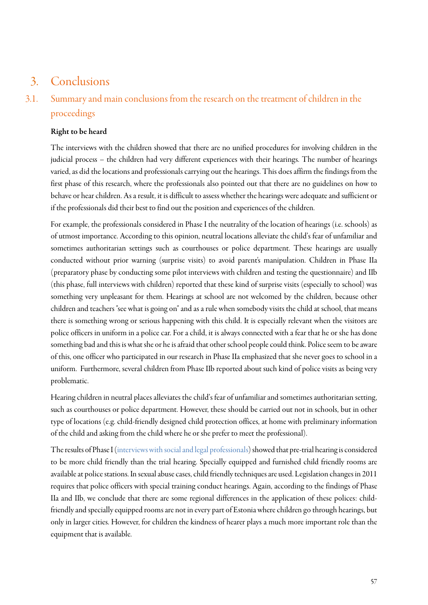# <span id="page-56-0"></span>3. Conclusions

# <span id="page-56-1"></span>3.1. Summary and main conclusions from the research on the treatment of children in the proceedings

### Right to be heard

The interviews with the children showed that there are no unified procedures for involving children in the judicial process – the children had very different experiences with their hearings. The number of hearings varied, as did the locations and professionals carrying out the hearings. This does affirm the findings from the first phase of this research, where the professionals also pointed out that there are no guidelines on how to behave or hear children. As a result, it is difficult to assess whether the hearings were adequate and sufficient or if the professionals did their best to find out the position and experiences of the children.

For example, the professionals considered in Phase I the neutrality of the location of hearings (i.e. schools) as of utmost importance. According to this opinion, neutral locations alleviate the child's fear of unfamiliar and sometimes authoritarian settings such as courthouses or police department. These hearings are usually conducted without prior warning (surprise visits) to avoid parent's manipulation. Children in Phase IIa (preparatory phase by conducting some pilot interviews with children and testing the questionnaire) and IIb (this phase, full interviews with children) reported that these kind of surprise visits (especially to school) was something very unpleasant for them. Hearings at school are not welcomed by the children, because other children and teachers "see what is going on"and as a rule when somebody visits the child at school, that means there is something wrong or serious happening with this child. It is especially relevant when the visitors are police officers in uniform in a police car. For a child, it is always connected with a fear that he or she has done something bad and this is what she or he is afraid that other school people could think. Police seem to be aware of this, one officer who participated in our research in Phase IIa emphasized that she never goes to school in a uniform. Furthermore, several children from Phase IIb reported about such kind of police visits as being very problematic.

Hearing children in neutral places alleviates the child's fear of unfamiliar and sometimes authoritarian setting, such as courthouses or police department. However, these should be carried out not in schools, but in other type of locations (e.g. child-friendly designed child protection offices, at home with preliminary information of the child and asking from the child where he or she prefer to meet the professional).

The results of Phase I [\(interviews with social and legal professionals\)](https://www.ibs.ee/publikatsioonid/laste-osalus-oigusemoistmises/) showed that pre-trial hearing is considered to be more child friendly than the trial hearing. Specially equipped and furnished child friendly rooms are available at police stations. In sexual abuse cases, child friendly techniques are used. Legislation changes in 2011 requires that police officers with special training conduct hearings. Again, according to the findings of Phase IIa and IIb, we conclude that there are some regional differences in the application of these polices: childfriendly and specially equipped rooms are not in every part of Estonia where children go through hearings, but only in larger cities. However, for children the kindness of hearer plays a much more important role than the equipment that is available.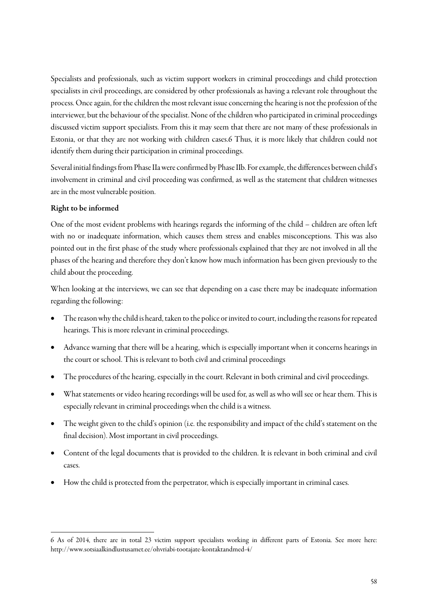Specialists and professionals, such as victim support workers in criminal proceedings and child protection specialists in civil proceedings, are considered by other professionals as having a relevant role throughout the process. Once again, for the children the most relevant issue concerning the hearing is not the profession of the interviewer, but the behaviour of the specialist. None of the children who participated in criminal proceedings discussed victim support specialists. From this it may seem that there are not many of these professionals in Estonia, or that they are not working with children cases.6 Thus, it is more likely that children could not identify them during their participation in criminal proceedings.

Several initial findings from Phase IIa were confirmed by Phase IIb. For example, the differences between child's involvement in criminal and civil proceeding was confirmed, as well as the statement that children witnesses are in the most vulnerable position.

#### Right to be informed

 $\overline{a}$ 

One of the most evident problems with hearings regards the informing of the child – children are often left with no or inadequate information, which causes them stress and enables misconceptions. This was also pointed out in the first phase of the study where professionals explained that they are not involved in all the phases of the hearing and therefore they don't know how much information has been given previously to the child about the proceeding.

When looking at the interviews, we can see that depending on a case there may be inadequate information regarding the following:

- The reason why the child is heard, taken to the police or invited to court, including the reasons for repeated hearings. This is more relevant in criminal proceedings.
- Advance warning that there will be a hearing, which is especially important when it concerns hearings in the court or school. This is relevant to both civil and criminal proceedings
- The procedures of the hearing, especially in the court. Relevant in both criminal and civil proceedings.
- What statements or video hearing recordings will be used for, as well as who will see or hear them. This is especially relevant in criminal proceedings when the child is a witness.
- The weight given to the child's opinion (i.e. the responsibility and impact of the child's statement on the final decision). Most important in civil proceedings.
- Content of the legal documents that is provided to the children. It is relevant in both criminal and civil cases.
- How the child is protected from the perpetrator, which is especially important in criminal cases.

<sup>6</sup> As of 2014, there are in total 23 victim support specialists working in different parts of Estonia. See more here: <http://www.sotsiaalkindlustusamet.ee/ohvriabi-tootajate-kontaktandmed-4/>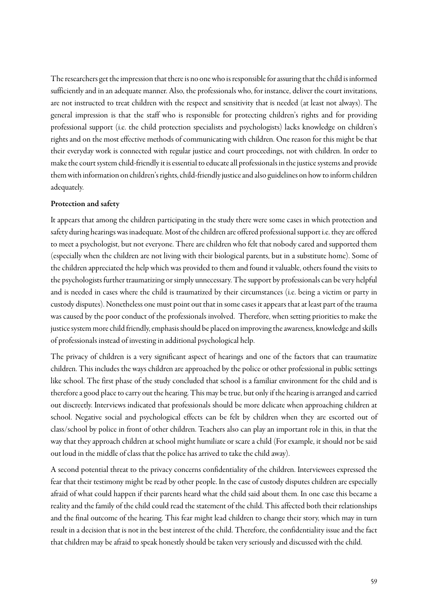The researchers get the impression that there is no one who is responsible for assuring that the child is informed sufficiently and in an adequate manner. Also, the professionals who, for instance, deliver the court invitations, are not instructed to treat children with the respect and sensitivity that is needed (at least not always). The general impression is that the staff who is responsible for protecting children's rights and for providing professional support (i.e. the child protection specialists and psychologists) lacks knowledge on children's rights and on the most effective methods of communicating with children. One reason for this might be that their everyday work is connected with regular justice and court proceedings, not with children. In order to make the court system child-friendly it is essential to educate all professionals in the justice systems and provide them with information on children's rights, child-friendly justice and also guidelines on how to inform children adequately.

#### Protection and safety

It appears that among the children participating in the study there were some cases in which protection and safety during hearings was inadequate. Most of the children are offered professional support i.e. they are offered to meet a psychologist, but not everyone. There are children who felt that nobody cared and supported them (especially when the children are not living with their biological parents, but in a substitute home). Some of the children appreciated the help which was provided to them and found it valuable, others found the visits to the psychologists further traumatizing or simply unnecessary. The support by professionals can be very helpful and is needed in cases where the child is traumatized by their circumstances (i.e. being a victim or party in custody disputes). Nonetheless one must point out that in some cases it appears that at least part of the trauma was caused by the poor conduct of the professionals involved. Therefore, when setting priorities to make the justice system more child friendly, emphasis should be placed on improving the awareness, knowledge and skills of professionals instead of investing in additional psychological help.

The privacy of children is a very significant aspect of hearings and one of the factors that can traumatize children. This includes the ways children are approached by the police or other professional in public settings like school. The first phase of the study concluded that school is a familiar environment for the child and is therefore a good place to carry out the hearing. This may be true, but onlyif the hearing is arranged and carried out discreetly. Interviews indicated that professionals should be more delicate when approaching children at school. Negative social and psychological effects can be felt by children when they are escorted out of class/school by police in front of other children. Teachers also can play an important role in this, in that the way that theyapproach children at school might humiliate or scare a child (For example, it should not be said out loud in the middle of class that the police has arrived to take the child away).

A second potential threat to the privacy concerns confidentiality of the children. Interviewees expressed the fear that their testimony might be read by other people. In the case of custody disputes children are especially afraid of what could happen if their parents heard what the child said about them. In one case this became a reality and the family of the child could read the statement of the child. This affected both their relationships and the final outcome of the hearing. This fear might lead children to change their story, which may in turn result in a decision that is not in the best interest of the child. Therefore, the confidentiality issue and the fact that children may be afraid to speak honestly should be taken very seriously and discussed with the child.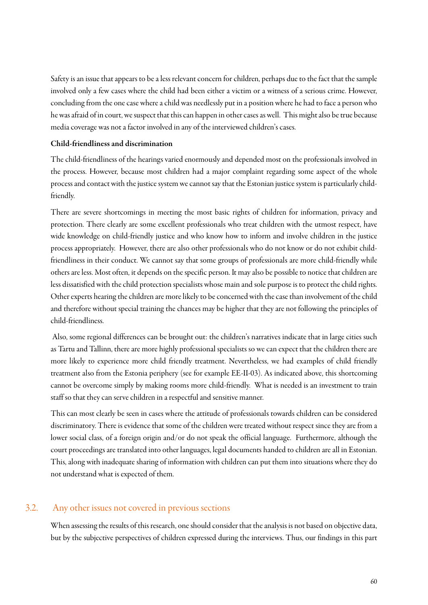Safety is an issue that appears to be a less relevant concern for children, perhaps due to the fact that the sample involved only a few cases where the child had been either a victim or a witness of a serious crime. However, concluding from the one case where a child was needlessly put in a position where he had to face a person who he was afraid of in court, we suspect that this can happen in other cases as well. This might also be true because media coverage was not a factor involved in any of the interviewed children's cases.

#### Child-friendliness and discrimination

The child-friendliness of the hearings varied enormously and depended most on the professionals involved in the process. However, because most children had a major complaint regarding some aspect of the whole process and contact with the justice system we cannot say that the Estonian justice system is particularly childfriendly.

There are severe shortcomings in meeting the most basic rights of children for information, privacy and protection. There clearly are some excellent professionals who treat children with the utmost respect, have wide knowledge on child-friendly justice and who know how to inform and involve children in the justice process appropriately. However, there are also other professionals who do not know or do not exhibit childfriendliness in their conduct. We cannot say that some groups of professionals are more child-friendly while others are less. Most often, it depends on the specific person. It may also be possible to notice that children are less dissatisfied with the child protection specialists whose main and sole purpose is to protect the child rights. Other experts hearing the children are more likely to be concerned with the case than involvement of the child and therefore without special training the chances may be higher that they are not following the principles of child-friendliness.

Also, some regional differences can be brought out: the children's narratives indicate that in large cities such as Tartu and Tallinn, there are more highly professional specialists so we can expect that the children there are more likely to experience more child friendly treatment. Nevertheless, we had examples of child friendly treatment also from the Estonia periphery (see for example EE-II-03). As indicated above, this shortcoming cannot be overcome simply by making rooms more child-friendly. What is needed is an investment to train staff so that they can serve children in a respectful and sensitive manner.

This can most clearly be seen in cases where the attitude of professionals towards children can be considered discriminatory. There is evidence that some of the children were treated without respect since they are from a lower social class, of a foreign origin and/or do not speak the official language. Furthermore, although the court proceedings are translated into other languages, legal documents handed to children are all in Estonian. This, along with inadequate sharing of information with children can put them into situations where they do not understand what is expected of them.

### 3.2. Any other issues not covered in previous sections

<span id="page-59-0"></span>When assessing the results of this research, one should consider that the analysis is not based on objective data, but by the subjective perspectives of children expressed during the interviews. Thus, our findings in this part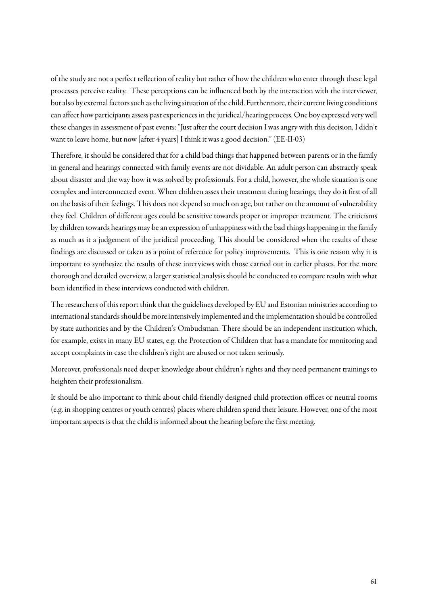of the study are not a perfect reflection of reality but rather of how the children who enter through these legal processes perceive reality. These perceptions can be influenced both by the interaction with the interviewer, but also by external factors such as the living situation of the child. Furthermore, their current living conditions can affect how participants assess past experiences in the juridical/hearing process. One boy expressed very well these changes in assessment of past events: "Just after the court decision I was angry with this decision, I didn't want to leave home, but now [after 4 years] I think it was a good decision." (EE-II-03)

Therefore, it should be considered that for a child bad things that happened between parents or in the family in general and hearings connected with family events are not dividable. An adult person can abstractly speak about disaster and the way how it was solved by professionals. For a child, however, the whole situation is one complex and interconnected event. When children asses their treatment during hearings, they do it first of all on the basis of their feelings. This does not depend so much on age, but rather on the amount of vulnerability they feel. Children of different ages could be sensitive towards proper or improper treatment. The criticisms by children towards hearings may be an expression of unhappiness with the bad things happening in the family as much as it a judgement of the juridical proceeding. This should be considered when the results of these findings are discussed or taken as a point of reference for policy improvements. This is one reason why it is important to synthesize the results of these interviews with those carried out in earlier phases. For the more thorough and detailed overview, a larger statistical analysis should be conducted to compare results with what been identified in these interviews conducted with children.

The researchers of this report think that the guidelines developed by EU and Estonian ministries according to international standards should be more intensively implemented and the implementation should be controlled by state authorities and by the Children's Ombudsman. There should be an independent institution which, for example, exists in many EU states, e.g. the Protection of Children that has a mandate for monitoring and accept complaints in case the children's right are abused or not taken seriously.

Moreover, professionals need deeper knowledge about children's rights and they need permanent trainings to heighten their professionalism.

It should be also important to think about child-friendly designed child protection offices or neutral rooms (e.g. in shopping centres or youth centres) places where children spend their leisure. However, one of the most important aspects is that the child is informed about the hearing before the first meeting.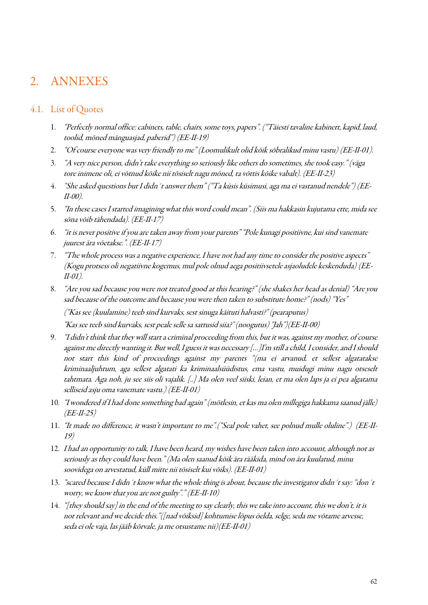# 2. ANNEXES

#### <span id="page-61-0"></span>4.1. List of Quotes

- 1. "Perfectly normal office: cabinets, table, chairs, some toys, papers". ("Täiesti tavaline kabinett, kapid, laud, toolid, mõned mänguasjad, paberid") (EE-II-19)
- 2. "Of course everyone was very friendly to me" (Loomulikult olid kõik sõbralikud minu vastu) (EE-II-01).
- 3. "A very nice person, didn't take everything so seriously like others do sometimes, she took easy." (väga tore inimene oli, ei võtnud kõike nii tõsiselt nagu mõned, ta võttis kõike vabalt). (EE-II-23)
- 4. "She asked questions but I didn´t answer them" ("Ta küsis küsimusi, aga ma ei vastanud nendele") (EE-II-00).
- 5. "In these cases I started imagining what this word could mean". (Siis ma hakkasin kujutama ette, mida see sõna võib tähendada). (EE-II-17)
- 6. "it is never positive if you are taken away from your parents" "Pole kunagi positiivne, kui sind vanemate juurest ära võetakse.". (EE-II-17)
- 7. "The whole process was a negative experience, I have not had any time to consider the positive aspects" (Kogu protsess oli negatiivne kogemus, mul pole olnud aega positiivsetele asjaoludele keskenduda) (EE-II-01).
- 8. "Are you sad because you were not treated good at this hearing?" (she shakes her head as denial) "Are you sad because of the outcome and because you were then taken to substitute home?" (nods) "Yes" ("Kas see (kuulamine) teeb sind kurvaks, sest sinuga käituti halvasti?" (pearaputus)

"Kas see teeb sind kurvaks, sest peale selle sa sattusid siia?" (noogutus) "Jah")(EE-II-00)

- 9. "I didn't think that they will start a criminal proceeding from this, but it was, against my mother, of course against me directly wanting it. But well, I guess it was necessary […]I'm still a child, I consider, and I should not start this kind of proceedings against my parents "(ma ei arvanud, et sellest algatatakse kriminaaljuhtum, aga sellest algatati ka kriminaalsüüdistus, ema vastu, muidugi minu nagu otseselt tahtmata. Aga noh, ju see siis oli vajalik. [..] Ma olen veel siiski, leian, et ma olen laps ja ei pea algatama selliseid asju oma vanemate vastu.) (EE-II-01)
- 10. "I wondered if I had done something bad again" (mõtlesin, et kas ma olen millegiga hakkama saanud jälle)  $(EE-H-25)$
- 11. "It made no difference, it wasn't important to me".("Seal pole vahet, see polnud mulle oluline".) (EE-II-19)
- 12. I had an opportunity to talk, I have been heard, my wishes have been taken into account, although not as seriously as they could have been." (Ma olen saanud kõik ära rääkida, mind on ära kuulatud, minu soovidega on arvestatud, küll mitte nii tõsiselt kui võiks). (EE-II-01)
- 13. "scared because I didn't know what the whole thing is about, because the investigator didn't say: "don't worry, we know that you are not guilty"." (EE-II-10)
- 14. "[they should say] in the end of the meeting to say clearly, this we take into account, this we don't, it is not relevant and we decide this."([nad võiksid] kohtumise lõpus öelda, selge, seda me võtame arvesse, seda ei ole vaja, las jääb kõrvale, ja me otsustame nii)(EE-II-01)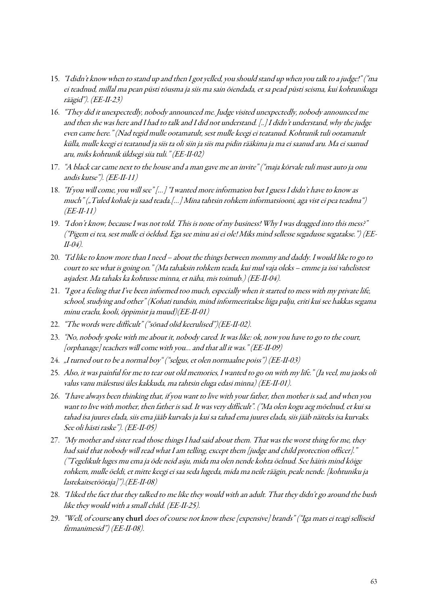- 15. "I didn't know when to stand up and then I got yelled, you should stand up when you talk to a judge!" ("ma ei teadnud, millal ma pean püsti tõusma ja siis ma sain õiendada, et sa pead püsti seisma, kui kohtunikuga räägid"). (EE-II-23)
- 16. "They did it unexpectedly, nobody announced me. Judge visited unexpectedly, nobody announced me and then she was here and I had to talk and I did not understand. [..] I didn't understand, why the judge even came here." (Nad tegid mulle ootamatult, sest mulle keegi ei teatanud. Kohtunik tuli ootamatult külla, mulle keegi ei teatanud ja siis ta oli siin ja siis ma pidin rääkima ja ma ei saanud aru. Ma ei saanud aru, miks kohtunik üldsegi siia tuli." (EE-II-02)
- 17. "A black car came next to the house and a man gave me an invite" ("maja kõrvale tuli must auto ja onu andis kutse"). (EE-II-11)
- 18. "If you will come, you will see" […] "I wanted more information but I guess I didn't have to know as much" ("Tuled kohale ja saad teada.[…] Mina tahtsin rohkem informatsiooni, aga vist ei pea teadma")  $(EE-H-11)$
- 19. "I don't know, because I was not told. This is none of my business! Why I was dragged into this mess?" ("Pigem ei tea, sest mulle ei öeldud. Ega see minu asi ei ole! Miks mind sellesse segadusse segatakse.") (EE-II-04).
- 20. "I'd like to know more than I need about the things between mommy and daddy. I would like to go to court to see what is going on." (Ma tahaksin rohkem teada, kui mul vaja oleks – emme ja issi vahelistest asjadest. Ma tahaks ka kohtusse minna, et näha, mis toimub.) (EE-II-04).
- 21. "I got a feeling that I've been informed too much, especially when it started to mess with my private life, school, studying and other" (Kohati tundsin, mind informeeritakse liiga palju, eriti kui see hakkas segama minu eraelu, kooli, õppimist ja muud)(EE-II-01)
- 22. "The words were difficult" ("sõnad olid keerulised") (EE-II-02).
- 23. "No, nobody spoke with me about it, nobody cared. It was like: ok, now you have to go to the court, [orphanage] teachers will come with you… and that all it was." (EE-II-09)
- 24. "I turned out to be a normal boy" ("selgus, et olen normaalne poiss") (EE-II-03)
- 25. Also, it was painful for me to tear out old memories, I wanted to go on with my life." (Ja veel, mu jaoks oli valus vanu mälestusi üles kakkuda, ma tahtsin eluga edasi minna) (EE-II-01).
- 26. "I have always been thinking that, if you want to live with your father, then mother is sad, and when you want to live with mother, then father is sad. It was very difficult". ("Ma olen kogu aeg mõelnud, et kui sa tahad isa juures elada, siis ema jääb kurvaks ja kui sa tahad ema juures elada, siis jääb näiteks isa kurvaks. See oli hästi raske"). (EE-II-05)
- 27. "My mother and sister read those things I had said about them. That was the worst thing for me, they had said that nobody will read what I am telling, except them [judge and child protection officer].' ("Tegelikult luges mu ema ja õde neid asju, mida ma olen nende kohta öelnud. See häiris mind kõige rohkem, mulle öeldi, et mitte keegi ei saa seda lugeda, mida ma neile räägin, peale nende. [kohtuniku ja lastekaitsetöötaja]").(EE-II-08)
- 28. "I liked the fact that they talked to me like they would with an adult. That they didn't go around the bush like they would with a small child. (EE-II-25).
- 29. "Well, of course any churl does of course not know these [expensive] brands" ("Iga mats ei teagi selliseid firmanimesid") (EE-II-08).